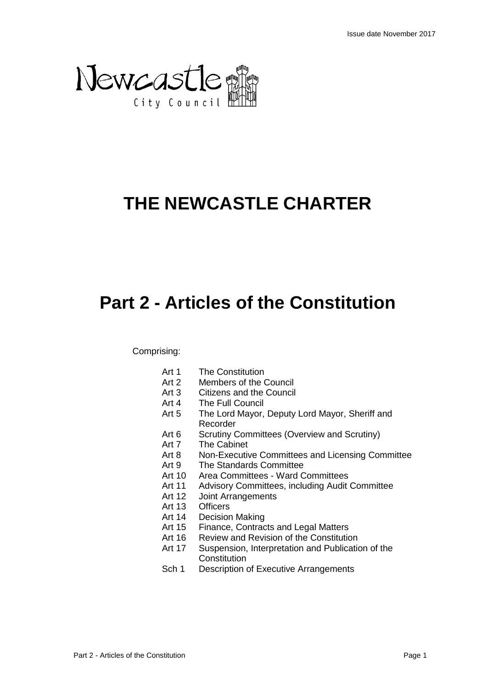

# **THE NEWCASTLE CHARTER**

# **Part 2 - Articles of the Constitution**

Comprising:

- Art 1 The Constitution
- Art 2 Members of the Council
- Art 3 Citizens and the Council
- Art 4 The Full Council
- Art 5 The Lord Mayor, Deputy Lord Mayor, Sheriff and Recorder
- Art 6 Scrutiny Committees (Overview and Scrutiny)
- Art 7 The Cabinet
- Art 8 Non-Executive Committees and Licensing Committee
- Art 9 The Standards Committee
- Art 10 Area Committees Ward Committees
- Art 11 Advisory Committees, including Audit Committee
- Art 12 Joint Arrangements
- Art 13 Officers
- Art 14 Decision Making
- Art 15 Finance, Contracts and Legal Matters
- Art 16 Review and Revision of the Constitution
- Art 17 Suspension, Interpretation and Publication of the **Constitution**
- Sch 1 Description of Executive Arrangements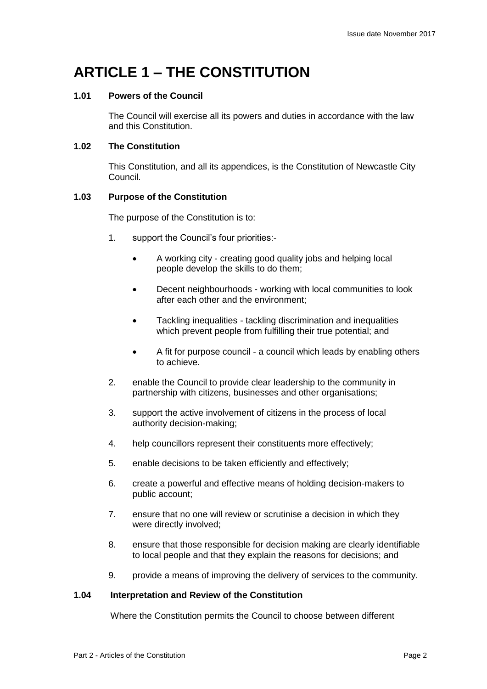## **ARTICLE 1 – THE CONSTITUTION**

### **1.01 Powers of the Council**

The Council will exercise all its powers and duties in accordance with the law and this Constitution.

## **1.02 The Constitution**

This Constitution, and all its appendices, is the Constitution of Newcastle City Council.

### **1.03 Purpose of the Constitution**

The purpose of the Constitution is to:

- 1. support the Council's four priorities:-
	- A working city creating good quality jobs and helping local people develop the skills to do them;
	- Decent neighbourhoods working with local communities to look after each other and the environment;
	- Tackling inequalities tackling discrimination and inequalities which prevent people from fulfilling their true potential; and
	- A fit for purpose council a council which leads by enabling others to achieve.
- 2. enable the Council to provide clear leadership to the community in partnership with citizens, businesses and other organisations;
- 3. support the active involvement of citizens in the process of local authority decision-making;
- 4. help councillors represent their constituents more effectively;
- 5. enable decisions to be taken efficiently and effectively;
- 6. create a powerful and effective means of holding decision-makers to public account;
- 7. ensure that no one will review or scrutinise a decision in which they were directly involved;
- 8. ensure that those responsible for decision making are clearly identifiable to local people and that they explain the reasons for decisions; and
- 9. provide a means of improving the delivery of services to the community.

#### **1.04 Interpretation and Review of the Constitution**

Where the Constitution permits the Council to choose between different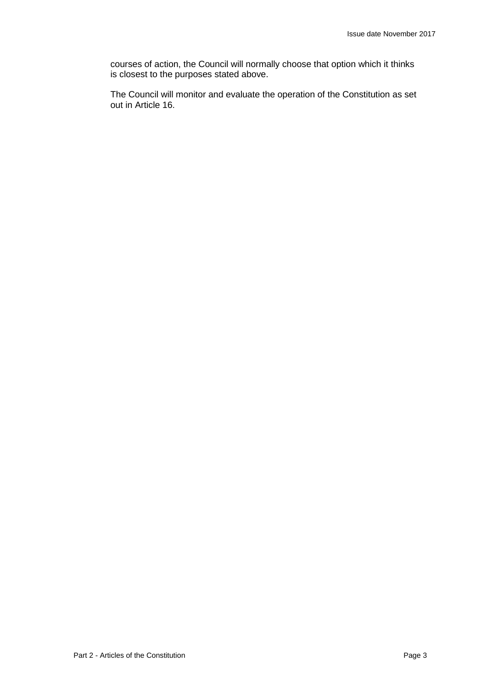courses of action, the Council will normally choose that option which it thinks is closest to the purposes stated above.

The Council will monitor and evaluate the operation of the Constitution as set out in Article 16.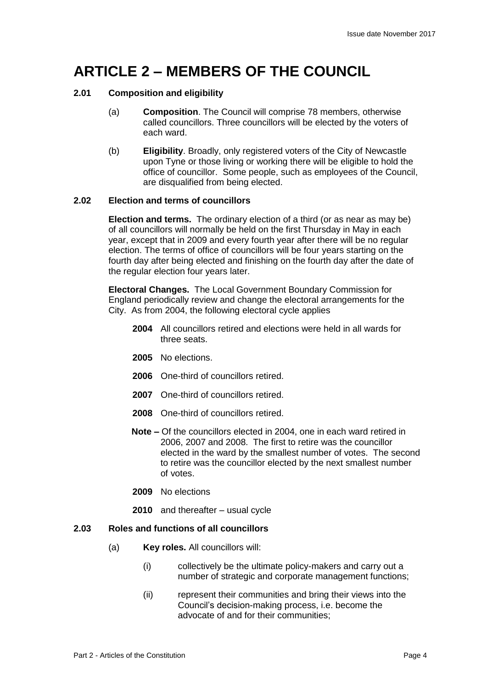## **ARTICLE 2 – MEMBERS OF THE COUNCIL**

## **2.01 Composition and eligibility**

- (a) **Composition**. The Council will comprise 78 members, otherwise called councillors. Three councillors will be elected by the voters of each ward.
- (b) **Eligibility**. Broadly, only registered voters of the City of Newcastle upon Tyne or those living or working there will be eligible to hold the office of councillor. Some people, such as employees of the Council, are disqualified from being elected.

## **2.02 Election and terms of councillors**

**Election and terms.** The ordinary election of a third (or as near as may be) of all councillors will normally be held on the first Thursday in May in each year, except that in 2009 and every fourth year after there will be no regular election. The terms of office of councillors will be four years starting on the fourth day after being elected and finishing on the fourth day after the date of the regular election four years later.

**Electoral Changes.** The Local Government Boundary Commission for England periodically review and change the electoral arrangements for the City. As from 2004, the following electoral cycle applies

- **2004** All councillors retired and elections were held in all wards for three seats.
- **2005** No elections.
- **2006** One-third of councillors retired.
- **2007** One-third of councillors retired.
- **2008** One-third of councillors retired.
- **Note –** Of the councillors elected in 2004, one in each ward retired in 2006, 2007 and 2008. The first to retire was the councillor elected in the ward by the smallest number of votes. The second to retire was the councillor elected by the next smallest number of votes.
- **2009** No elections
- **2010** and thereafter usual cycle

## **2.03 Roles and functions of all councillors**

- (a) **Key roles.** All councillors will:
	- (i) collectively be the ultimate policy-makers and carry out a number of strategic and corporate management functions;
	- (ii) represent their communities and bring their views into the Council's decision-making process, i.e. become the advocate of and for their communities;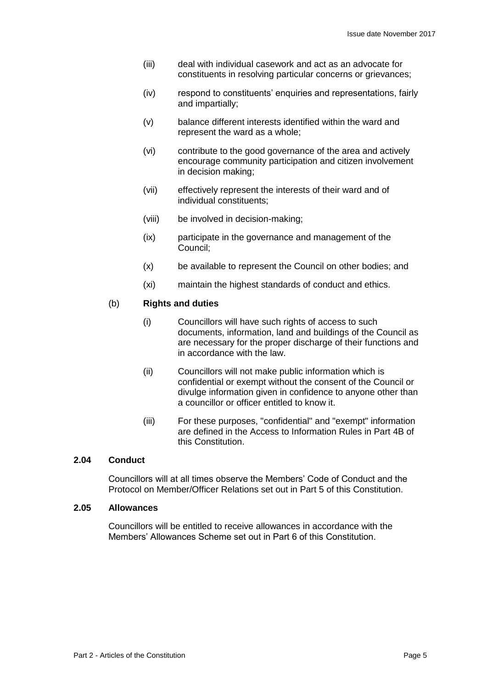- (iii) deal with individual casework and act as an advocate for constituents in resolving particular concerns or grievances;
- (iv) respond to constituents' enquiries and representations, fairly and impartially;
- (v) balance different interests identified within the ward and represent the ward as a whole;
- (vi) contribute to the good governance of the area and actively encourage community participation and citizen involvement in decision making;
- (vii) effectively represent the interests of their ward and of individual constituents;
- (viii) be involved in decision-making;
- (ix) participate in the governance and management of the Council;
- (x) be available to represent the Council on other bodies; and
- (xi) maintain the highest standards of conduct and ethics.

## (b) **Rights and duties**

- (i) Councillors will have such rights of access to such documents, information, land and buildings of the Council as are necessary for the proper discharge of their functions and in accordance with the law.
- (ii) Councillors will not make public information which is confidential or exempt without the consent of the Council or divulge information given in confidence to anyone other than a councillor or officer entitled to know it.
- (iii) For these purposes, "confidential" and "exempt" information are defined in the Access to Information Rules in Part 4B of this Constitution.

#### **2.04 Conduct**

Councillors will at all times observe the Members' Code of Conduct and the Protocol on Member/Officer Relations set out in Part 5 of this Constitution.

#### **2.05 Allowances**

Councillors will be entitled to receive allowances in accordance with the Members' Allowances Scheme set out in Part 6 of this Constitution.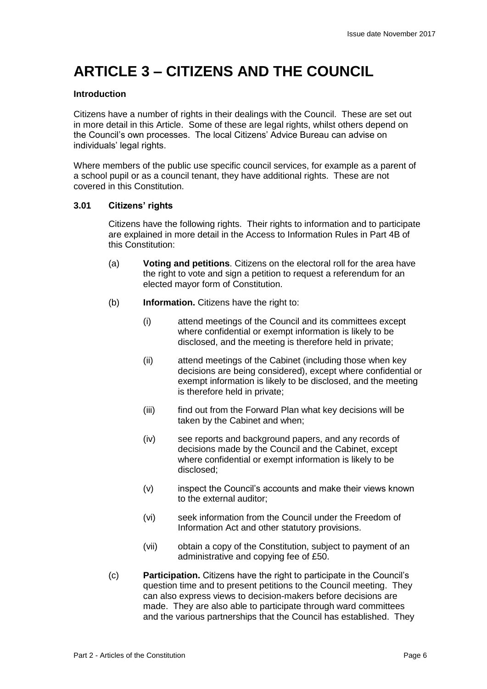## **ARTICLE 3 – CITIZENS AND THE COUNCIL**

### **Introduction**

Citizens have a number of rights in their dealings with the Council. These are set out in more detail in this Article. Some of these are legal rights, whilst others depend on the Council's own processes. The local Citizens' Advice Bureau can advise on individuals' legal rights.

Where members of the public use specific council services, for example as a parent of a school pupil or as a council tenant, they have additional rights. These are not covered in this Constitution.

## **3.01 Citizens' rights**

Citizens have the following rights. Their rights to information and to participate are explained in more detail in the Access to Information Rules in Part 4B of this Constitution:

- (a) **Voting and petitions**. Citizens on the electoral roll for the area have the right to vote and sign a petition to request a referendum for an elected mayor form of Constitution.
- (b) **Information.** Citizens have the right to:
	- (i) attend meetings of the Council and its committees except where confidential or exempt information is likely to be disclosed, and the meeting is therefore held in private;
	- (ii) attend meetings of the Cabinet (including those when key decisions are being considered), except where confidential or exempt information is likely to be disclosed, and the meeting is therefore held in private;
	- (iii) find out from the Forward Plan what key decisions will be taken by the Cabinet and when;
	- (iv) see reports and background papers, and any records of decisions made by the Council and the Cabinet, except where confidential or exempt information is likely to be disclosed;
	- (v) inspect the Council's accounts and make their views known to the external auditor;
	- (vi) seek information from the Council under the Freedom of Information Act and other statutory provisions.
	- (vii) obtain a copy of the Constitution, subject to payment of an administrative and copying fee of £50.
- (c) **Participation.** Citizens have the right to participate in the Council's question time and to present petitions to the Council meeting. They can also express views to decision-makers before decisions are made. They are also able to participate through ward committees and the various partnerships that the Council has established. They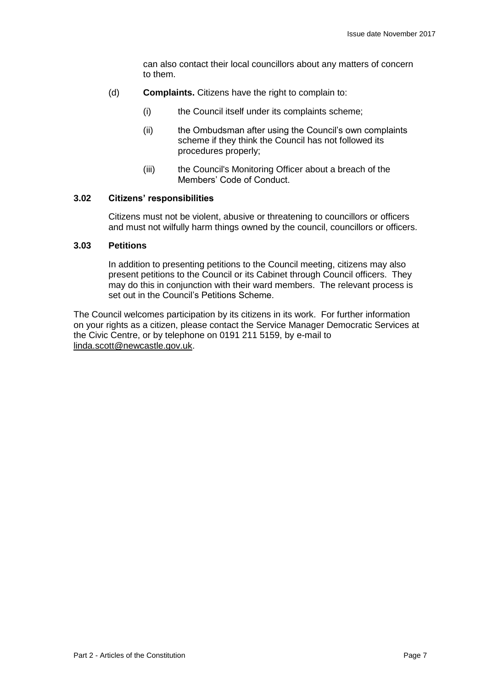can also contact their local councillors about any matters of concern to them.

- (d) **Complaints.** Citizens have the right to complain to:
	- (i) the Council itself under its complaints scheme;
	- (ii) the Ombudsman after using the Council's own complaints scheme if they think the Council has not followed its procedures properly;
	- (iii) the Council's Monitoring Officer about a breach of the Members' Code of Conduct.

#### **3.02 Citizens' responsibilities**

Citizens must not be violent, abusive or threatening to councillors or officers and must not wilfully harm things owned by the council, councillors or officers.

#### **3.03 Petitions**

In addition to presenting petitions to the Council meeting, citizens may also present petitions to the Council or its Cabinet through Council officers. They may do this in conjunction with their ward members. The relevant process is set out in the Council's Petitions Scheme.

The Council welcomes participation by its citizens in its work. For further information on your rights as a citizen, please contact the Service Manager Democratic Services at the Civic Centre, or by telephone on 0191 211 5159, by e-mail to [linda.scott@newcastle.gov.uk.](mailto:linda.scott@newcastle.gov.uk)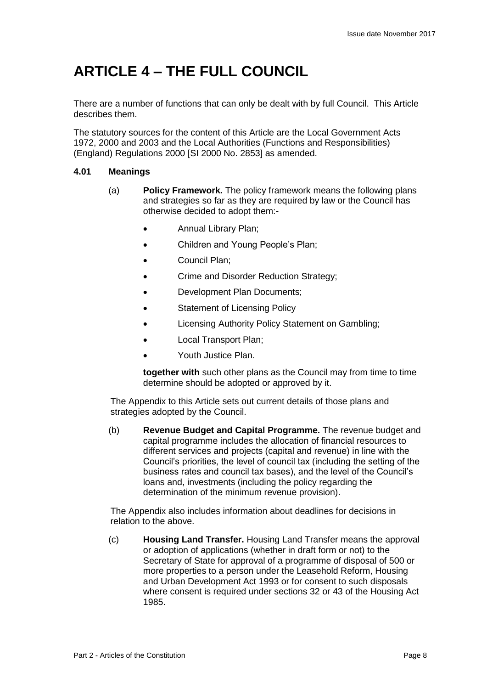## **ARTICLE 4 – THE FULL COUNCIL**

There are a number of functions that can only be dealt with by full Council. This Article describes them.

The statutory sources for the content of this Article are the Local Government Acts 1972, 2000 and 2003 and the Local Authorities (Functions and Responsibilities) (England) Regulations 2000 [SI 2000 No. 2853] as amended.

## **4.01 Meanings**

- (a) **Policy Framework.** The policy framework means the following plans and strategies so far as they are required by law or the Council has otherwise decided to adopt them:-
	- Annual Library Plan;
	- Children and Young People's Plan;
	- Council Plan;
	- Crime and Disorder Reduction Strategy;
	- Development Plan Documents;
	- Statement of Licensing Policy
	- Licensing Authority Policy Statement on Gambling;
	- Local Transport Plan;
	- Youth Justice Plan.

**together with** such other plans as the Council may from time to time determine should be adopted or approved by it.

The Appendix to this Article sets out current details of those plans and strategies adopted by the Council.

(b) **Revenue Budget and Capital Programme.** The revenue budget and capital programme includes the allocation of financial resources to different services and projects (capital and revenue) in line with the Council's priorities, the level of council tax (including the setting of the business rates and council tax bases), and the level of the Council's loans and, investments (including the policy regarding the determination of the minimum revenue provision).

The Appendix also includes information about deadlines for decisions in relation to the above.

(c) **Housing Land Transfer.** Housing Land Transfer means the approval or adoption of applications (whether in draft form or not) to the Secretary of State for approval of a programme of disposal of 500 or more properties to a person under the Leasehold Reform, Housing and Urban Development Act 1993 or for consent to such disposals where consent is required under sections 32 or 43 of the Housing Act 1985.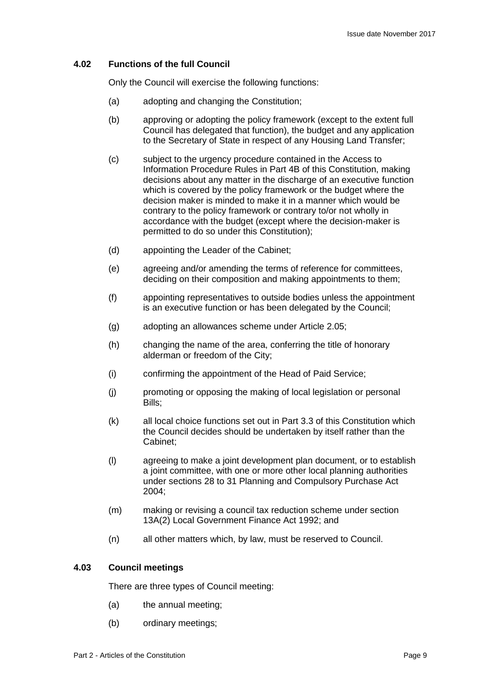### **4.02 Functions of the full Council**

Only the Council will exercise the following functions:

- (a) adopting and changing the Constitution;
- (b) approving or adopting the policy framework (except to the extent full Council has delegated that function), the budget and any application to the Secretary of State in respect of any Housing Land Transfer;
- (c) subject to the urgency procedure contained in the Access to Information Procedure Rules in Part 4B of this Constitution, making decisions about any matter in the discharge of an executive function which is covered by the policy framework or the budget where the decision maker is minded to make it in a manner which would be contrary to the policy framework or contrary to/or not wholly in accordance with the budget (except where the decision-maker is permitted to do so under this Constitution);
- (d) appointing the Leader of the Cabinet;
- (e) agreeing and/or amending the terms of reference for committees, deciding on their composition and making appointments to them;
- (f) appointing representatives to outside bodies unless the appointment is an executive function or has been delegated by the Council;
- (g) adopting an allowances scheme under Article 2.05;
- (h) changing the name of the area, conferring the title of honorary alderman or freedom of the City;
- (i) confirming the appointment of the Head of Paid Service;
- (j) promoting or opposing the making of local legislation or personal Bills;
- (k) all local choice functions set out in Part 3.3 of this Constitution which the Council decides should be undertaken by itself rather than the Cabinet;
- (l) agreeing to make a joint development plan document, or to establish a joint committee, with one or more other local planning authorities under sections 28 to 31 Planning and Compulsory Purchase Act 2004;
- (m) making or revising a council tax reduction scheme under section 13A(2) Local Government Finance Act 1992; and
- (n) all other matters which, by law, must be reserved to Council.

#### **4.03 Council meetings**

There are three types of Council meeting:

- (a) the annual meeting;
- (b) ordinary meetings;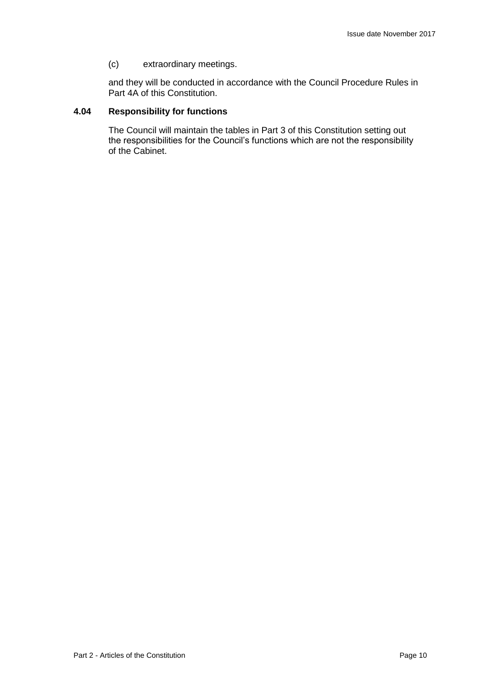(c) extraordinary meetings.

and they will be conducted in accordance with the Council Procedure Rules in Part 4A of this Constitution.

## **4.04 Responsibility for functions**

The Council will maintain the tables in Part 3 of this Constitution setting out the responsibilities for the Council's functions which are not the responsibility of the Cabinet.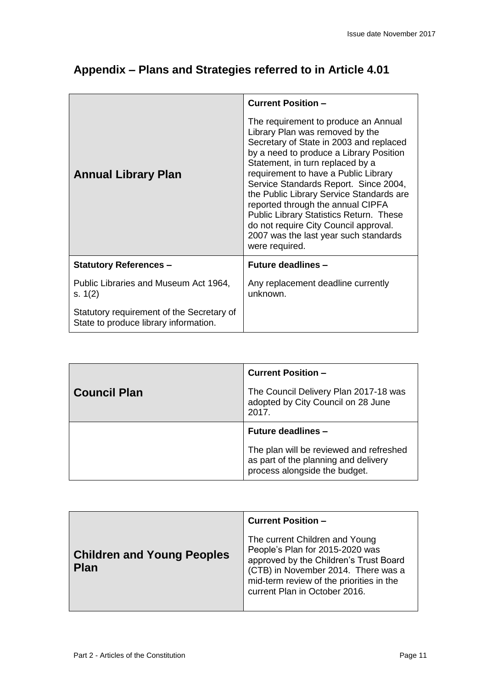| <b>Annual Library Plan</b>                                                         | <b>Current Position -</b><br>The requirement to produce an Annual<br>Library Plan was removed by the<br>Secretary of State in 2003 and replaced<br>by a need to produce a Library Position<br>Statement, in turn replaced by a<br>requirement to have a Public Library |
|------------------------------------------------------------------------------------|------------------------------------------------------------------------------------------------------------------------------------------------------------------------------------------------------------------------------------------------------------------------|
|                                                                                    | Service Standards Report. Since 2004,<br>the Public Library Service Standards are<br>reported through the annual CIPFA<br>Public Library Statistics Return. These<br>do not require City Council approval.<br>2007 was the last year such standards<br>were required.  |
| <b>Statutory References -</b>                                                      | <b>Future deadlines -</b>                                                                                                                                                                                                                                              |
| Public Libraries and Museum Act 1964,<br>s. $1(2)$                                 | Any replacement deadline currently<br>unknown.                                                                                                                                                                                                                         |
| Statutory requirement of the Secretary of<br>State to produce library information. |                                                                                                                                                                                                                                                                        |

## **Appendix – Plans and Strategies referred to in Article 4.01**

|                     | <b>Current Position -</b>                                                                                        |
|---------------------|------------------------------------------------------------------------------------------------------------------|
| <b>Council Plan</b> | The Council Delivery Plan 2017-18 was<br>adopted by City Council on 28 June<br>2017.                             |
|                     | <b>Future deadlines -</b>                                                                                        |
|                     | The plan will be reviewed and refreshed<br>as part of the planning and delivery<br>process alongside the budget. |

|                                                  | <b>Current Position -</b>                                                                                                                                                                                                       |
|--------------------------------------------------|---------------------------------------------------------------------------------------------------------------------------------------------------------------------------------------------------------------------------------|
| <b>Children and Young Peoples</b><br><b>Plan</b> | The current Children and Young<br>People's Plan for 2015-2020 was<br>approved by the Children's Trust Board<br>(CTB) in November 2014. There was a<br>mid-term review of the priorities in the<br>current Plan in October 2016. |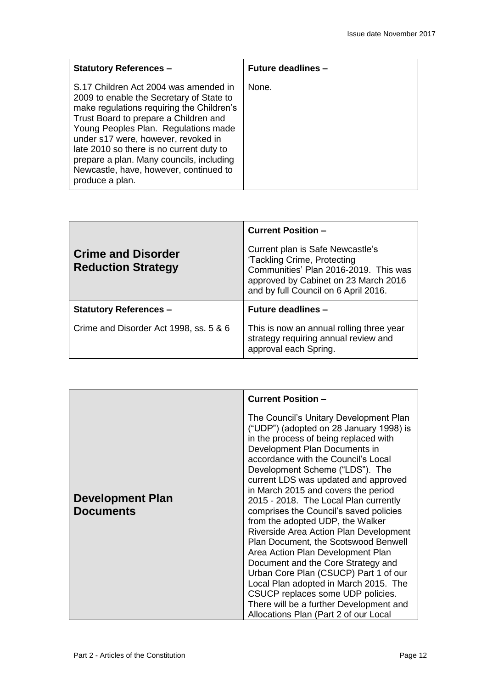| <b>Statutory References -</b>                                                                                                                                                                                                                                                                                                                                                                               | <b>Future deadlines -</b> |
|-------------------------------------------------------------------------------------------------------------------------------------------------------------------------------------------------------------------------------------------------------------------------------------------------------------------------------------------------------------------------------------------------------------|---------------------------|
| S.17 Children Act 2004 was amended in<br>2009 to enable the Secretary of State to<br>make regulations requiring the Children's<br>Trust Board to prepare a Children and<br>Young Peoples Plan. Regulations made<br>under s17 were, however, revoked in<br>late 2010 so there is no current duty to<br>prepare a plan. Many councils, including<br>Newcastle, have, however, continued to<br>produce a plan. | None.                     |

|                                                        | <b>Current Position -</b>                                                                                                                                                                |
|--------------------------------------------------------|------------------------------------------------------------------------------------------------------------------------------------------------------------------------------------------|
| <b>Crime and Disorder</b><br><b>Reduction Strategy</b> | Current plan is Safe Newcastle's<br>'Tackling Crime, Protecting<br>Communities' Plan 2016-2019. This was<br>approved by Cabinet on 23 March 2016<br>and by full Council on 6 April 2016. |
| <b>Statutory References -</b>                          | <b>Future deadlines -</b>                                                                                                                                                                |
| Crime and Disorder Act 1998, ss. 5 & 6                 | This is now an annual rolling three year<br>strategy requiring annual review and<br>approval each Spring.                                                                                |

|                                             | <b>Current Position -</b>                                                                                                                                                                                                                                                                                                                                                                                                                                                                                                                                                                                                                                                                                                                                                                                           |
|---------------------------------------------|---------------------------------------------------------------------------------------------------------------------------------------------------------------------------------------------------------------------------------------------------------------------------------------------------------------------------------------------------------------------------------------------------------------------------------------------------------------------------------------------------------------------------------------------------------------------------------------------------------------------------------------------------------------------------------------------------------------------------------------------------------------------------------------------------------------------|
| <b>Development Plan</b><br><b>Documents</b> | The Council's Unitary Development Plan<br>("UDP") (adopted on 28 January 1998) is<br>in the process of being replaced with<br>Development Plan Documents in<br>accordance with the Council's Local<br>Development Scheme ("LDS"). The<br>current LDS was updated and approved<br>in March 2015 and covers the period<br>2015 - 2018. The Local Plan currently<br>comprises the Council's saved policies<br>from the adopted UDP, the Walker<br>Riverside Area Action Plan Development<br>Plan Document, the Scotswood Benwell<br>Area Action Plan Development Plan<br>Document and the Core Strategy and<br>Urban Core Plan (CSUCP) Part 1 of our<br>Local Plan adopted in March 2015. The<br>CSUCP replaces some UDP policies.<br>There will be a further Development and<br>Allocations Plan (Part 2 of our Local |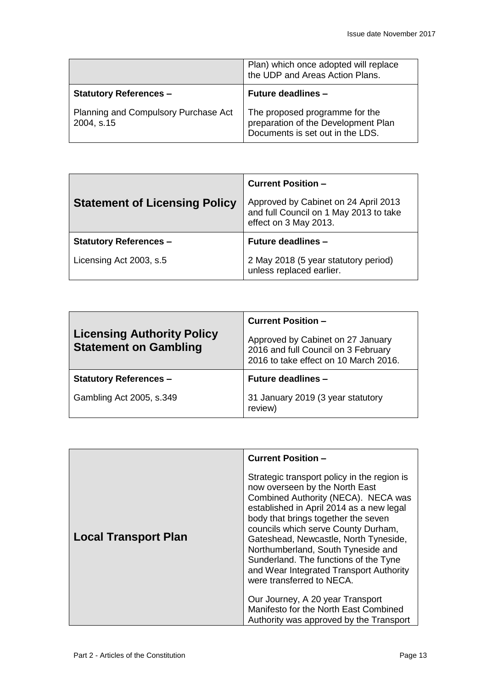|                                                    | Plan) which once adopted will replace<br>the UDP and Areas Action Plans.                                  |
|----------------------------------------------------|-----------------------------------------------------------------------------------------------------------|
| <b>Statutory References -</b>                      | <b>Future deadlines -</b>                                                                                 |
| Planning and Compulsory Purchase Act<br>2004, s.15 | The proposed programme for the<br>preparation of the Development Plan<br>Documents is set out in the LDS. |

|                                      | <b>Current Position -</b>                                                                               |
|--------------------------------------|---------------------------------------------------------------------------------------------------------|
| <b>Statement of Licensing Policy</b> | Approved by Cabinet on 24 April 2013<br>and full Council on 1 May 2013 to take<br>effect on 3 May 2013. |
| <b>Statutory References -</b>        | <b>Future deadlines -</b>                                                                               |
| Licensing Act 2003, s.5              | 2 May 2018 (5 year statutory period)<br>unless replaced earlier.                                        |

| <b>Licensing Authority Policy</b><br><b>Statement on Gambling</b> | <b>Current Position -</b><br>Approved by Cabinet on 27 January<br>2016 and full Council on 3 February<br>2016 to take effect on 10 March 2016. |
|-------------------------------------------------------------------|------------------------------------------------------------------------------------------------------------------------------------------------|
| <b>Statutory References -</b>                                     | <b>Future deadlines -</b>                                                                                                                      |
| Gambling Act 2005, s.349                                          | 31 January 2019 (3 year statutory<br>review)                                                                                                   |

|                             | <b>Current Position -</b>                                                                                                                                                                                                                                                                                                                                                                                                                      |
|-----------------------------|------------------------------------------------------------------------------------------------------------------------------------------------------------------------------------------------------------------------------------------------------------------------------------------------------------------------------------------------------------------------------------------------------------------------------------------------|
| <b>Local Transport Plan</b> | Strategic transport policy in the region is<br>now overseen by the North East<br>Combined Authority (NECA). NECA was<br>established in April 2014 as a new legal<br>body that brings together the seven<br>councils which serve County Durham,<br>Gateshead, Newcastle, North Tyneside,<br>Northumberland, South Tyneside and<br>Sunderland. The functions of the Tyne<br>and Wear Integrated Transport Authority<br>were transferred to NECA. |
|                             | Our Journey, A 20 year Transport<br>Manifesto for the North East Combined<br>Authority was approved by the Transport                                                                                                                                                                                                                                                                                                                           |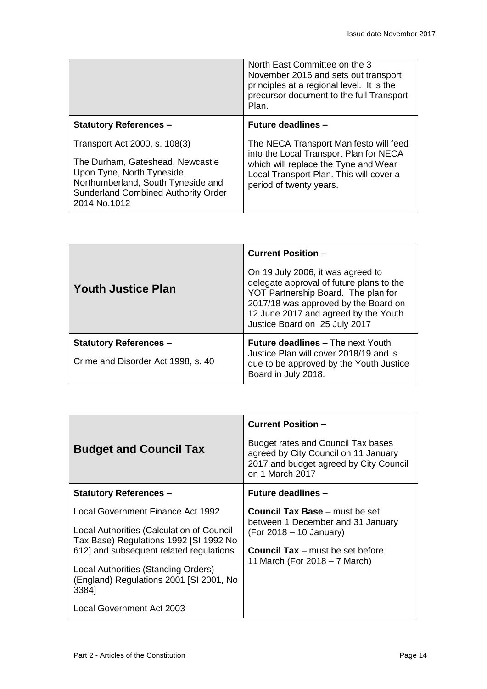|                                                                                                                                                                                                     | North East Committee on the 3<br>November 2016 and sets out transport<br>principles at a regional level. It is the<br>precursor document to the full Transport<br>Plan.                        |
|-----------------------------------------------------------------------------------------------------------------------------------------------------------------------------------------------------|------------------------------------------------------------------------------------------------------------------------------------------------------------------------------------------------|
| <b>Statutory References -</b>                                                                                                                                                                       | <b>Future deadlines -</b>                                                                                                                                                                      |
| Transport Act 2000, s. 108(3)<br>The Durham, Gateshead, Newcastle<br>Upon Tyne, North Tyneside,<br>Northumberland, South Tyneside and<br><b>Sunderland Combined Authority Order</b><br>2014 No.1012 | The NECA Transport Manifesto will feed<br>into the Local Transport Plan for NECA<br>which will replace the Tyne and Wear<br>Local Transport Plan. This will cover a<br>period of twenty years. |

|                                                                     | <b>Current Position -</b>                                                                                                                                                                                                             |
|---------------------------------------------------------------------|---------------------------------------------------------------------------------------------------------------------------------------------------------------------------------------------------------------------------------------|
| <b>Youth Justice Plan</b>                                           | On 19 July 2006, it was agreed to<br>delegate approval of future plans to the<br>YOT Partnership Board. The plan for<br>2017/18 was approved by the Board on<br>12 June 2017 and agreed by the Youth<br>Justice Board on 25 July 2017 |
| <b>Statutory References -</b><br>Crime and Disorder Act 1998, s. 40 | <b>Future deadlines – The next Youth</b><br>Justice Plan will cover 2018/19 and is<br>due to be approved by the Youth Justice<br>Board in July 2018.                                                                                  |

| <b>Budget and Council Tax</b>                                                           | <b>Current Position -</b><br>Budget rates and Council Tax bases<br>agreed by City Council on 11 January<br>2017 and budget agreed by City Council<br>on 1 March 2017 |
|-----------------------------------------------------------------------------------------|----------------------------------------------------------------------------------------------------------------------------------------------------------------------|
| <b>Statutory References -</b>                                                           | <b>Future deadlines -</b>                                                                                                                                            |
| Local Government Finance Act 1992                                                       | <b>Council Tax Base</b> – must be set<br>between 1 December and 31 January                                                                                           |
| Local Authorities (Calculation of Council<br>Tax Base) Regulations 1992 [SI 1992 No     | (For 2018 – 10 January)                                                                                                                                              |
| 612] and subsequent related regulations                                                 | <b>Council Tax</b> – must be set before                                                                                                                              |
| Local Authorities (Standing Orders)<br>(England) Regulations 2001 [SI 2001, No<br>3384] | 11 March (For $2018 - 7$ March)                                                                                                                                      |
| Local Government Act 2003                                                               |                                                                                                                                                                      |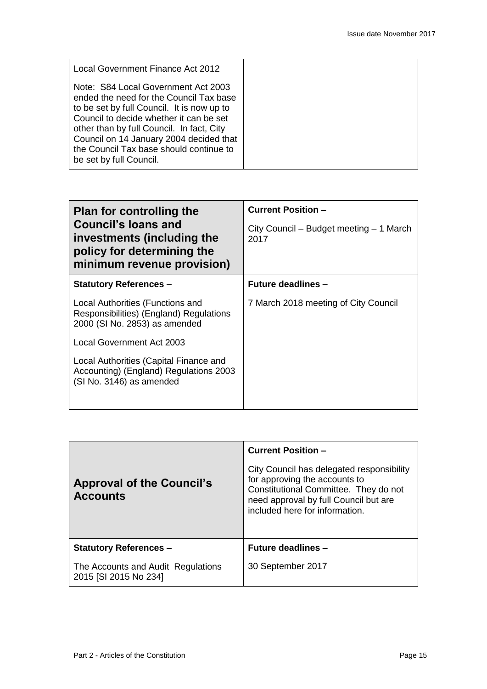| Local Government Finance Act 2012                                                                                                                                                                                                                                                                                                     |  |
|---------------------------------------------------------------------------------------------------------------------------------------------------------------------------------------------------------------------------------------------------------------------------------------------------------------------------------------|--|
| Note: S84 Local Government Act 2003<br>ended the need for the Council Tax base<br>to be set by full Council. It is now up to<br>Council to decide whether it can be set<br>other than by full Council. In fact, City<br>Council on 14 January 2004 decided that<br>the Council Tax base should continue to<br>be set by full Council. |  |

| <b>Plan for controlling the</b><br><b>Council's loans and</b><br>investments (including the<br>policy for determining the<br>minimum revenue provision) | <b>Current Position -</b><br>City Council – Budget meeting – 1 March<br>2017 |
|---------------------------------------------------------------------------------------------------------------------------------------------------------|------------------------------------------------------------------------------|
| <b>Statutory References -</b>                                                                                                                           | <b>Future deadlines -</b>                                                    |
| Local Authorities (Functions and<br>Responsibilities) (England) Regulations<br>2000 (SI No. 2853) as amended                                            | 7 March 2018 meeting of City Council                                         |
| Local Government Act 2003                                                                                                                               |                                                                              |
| Local Authorities (Capital Finance and<br>Accounting) (England) Regulations 2003<br>(SI No. 3146) as amended                                            |                                                                              |

|                                                             | <b>Current Position -</b>                                                                                                                                                                      |
|-------------------------------------------------------------|------------------------------------------------------------------------------------------------------------------------------------------------------------------------------------------------|
| <b>Approval of the Council's</b><br><b>Accounts</b>         | City Council has delegated responsibility<br>for approving the accounts to<br>Constitutional Committee. They do not<br>need approval by full Council but are<br>included here for information. |
| <b>Statutory References -</b>                               | <b>Future deadlines -</b>                                                                                                                                                                      |
| The Accounts and Audit Regulations<br>2015 [SI 2015 No 234] | 30 September 2017                                                                                                                                                                              |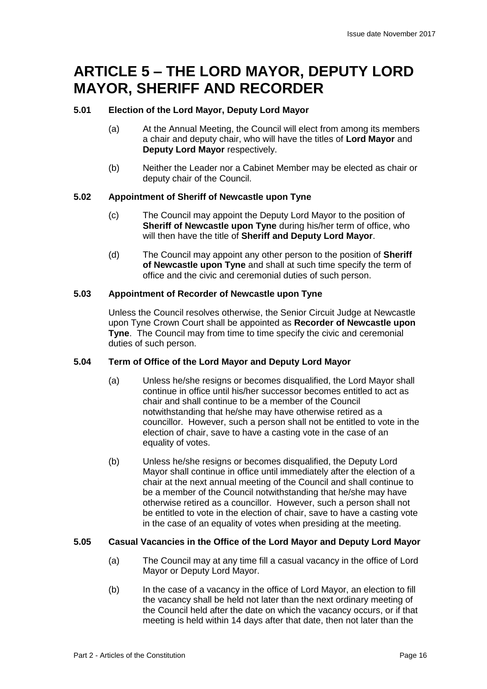## **ARTICLE 5 – THE LORD MAYOR, DEPUTY LORD MAYOR, SHERIFF AND RECORDER**

## **5.01 Election of the Lord Mayor, Deputy Lord Mayor**

- (a) At the Annual Meeting, the Council will elect from among its members a chair and deputy chair, who will have the titles of **Lord Mayor** and **Deputy Lord Mayor** respectively.
- (b) Neither the Leader nor a Cabinet Member may be elected as chair or deputy chair of the Council.

## **5.02 Appointment of Sheriff of Newcastle upon Tyne**

- (c) The Council may appoint the Deputy Lord Mayor to the position of **Sheriff of Newcastle upon Tyne** during his/her term of office, who will then have the title of **Sheriff and Deputy Lord Mayor**.
- (d) The Council may appoint any other person to the position of **Sheriff of Newcastle upon Tyne** and shall at such time specify the term of office and the civic and ceremonial duties of such person.

## **5.03 Appointment of Recorder of Newcastle upon Tyne**

Unless the Council resolves otherwise, the Senior Circuit Judge at Newcastle upon Tyne Crown Court shall be appointed as **Recorder of Newcastle upon Tyne**. The Council may from time to time specify the civic and ceremonial duties of such person.

## **5.04 Term of Office of the Lord Mayor and Deputy Lord Mayor**

- (a) Unless he/she resigns or becomes disqualified, the Lord Mayor shall continue in office until his/her successor becomes entitled to act as chair and shall continue to be a member of the Council notwithstanding that he/she may have otherwise retired as a councillor. However, such a person shall not be entitled to vote in the election of chair, save to have a casting vote in the case of an equality of votes.
- (b) Unless he/she resigns or becomes disqualified, the Deputy Lord Mayor shall continue in office until immediately after the election of a chair at the next annual meeting of the Council and shall continue to be a member of the Council notwithstanding that he/she may have otherwise retired as a councillor. However, such a person shall not be entitled to vote in the election of chair, save to have a casting vote in the case of an equality of votes when presiding at the meeting.

## **5.05 Casual Vacancies in the Office of the Lord Mayor and Deputy Lord Mayor**

- (a) The Council may at any time fill a casual vacancy in the office of Lord Mayor or Deputy Lord Mayor.
- (b) In the case of a vacancy in the office of Lord Mayor, an election to fill the vacancy shall be held not later than the next ordinary meeting of the Council held after the date on which the vacancy occurs, or if that meeting is held within 14 days after that date, then not later than the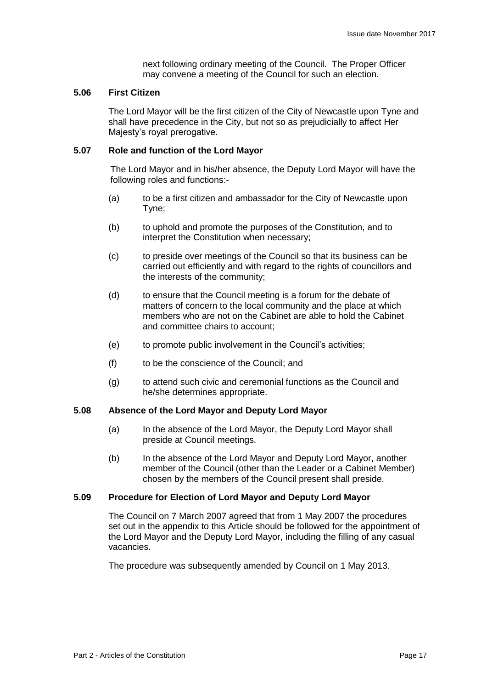next following ordinary meeting of the Council. The Proper Officer may convene a meeting of the Council for such an election.

#### **5.06 First Citizen**

The Lord Mayor will be the first citizen of the City of Newcastle upon Tyne and shall have precedence in the City, but not so as prejudicially to affect Her Majesty's royal prerogative.

#### **5.07 Role and function of the Lord Mayor**

The Lord Mayor and in his/her absence, the Deputy Lord Mayor will have the following roles and functions:-

- (a) to be a first citizen and ambassador for the City of Newcastle upon Tyne;
- (b) to uphold and promote the purposes of the Constitution, and to interpret the Constitution when necessary;
- (c) to preside over meetings of the Council so that its business can be carried out efficiently and with regard to the rights of councillors and the interests of the community;
- (d) to ensure that the Council meeting is a forum for the debate of matters of concern to the local community and the place at which members who are not on the Cabinet are able to hold the Cabinet and committee chairs to account;
- (e) to promote public involvement in the Council's activities;
- (f) to be the conscience of the Council; and
- (g) to attend such civic and ceremonial functions as the Council and he/she determines appropriate.

### **5.08 Absence of the Lord Mayor and Deputy Lord Mayor**

- (a) In the absence of the Lord Mayor, the Deputy Lord Mayor shall preside at Council meetings.
- (b) In the absence of the Lord Mayor and Deputy Lord Mayor, another member of the Council (other than the Leader or a Cabinet Member) chosen by the members of the Council present shall preside.

### **5.09 Procedure for Election of Lord Mayor and Deputy Lord Mayor**

The Council on 7 March 2007 agreed that from 1 May 2007 the procedures set out in the appendix to this Article should be followed for the appointment of the Lord Mayor and the Deputy Lord Mayor, including the filling of any casual vacancies.

The procedure was subsequently amended by Council on 1 May 2013.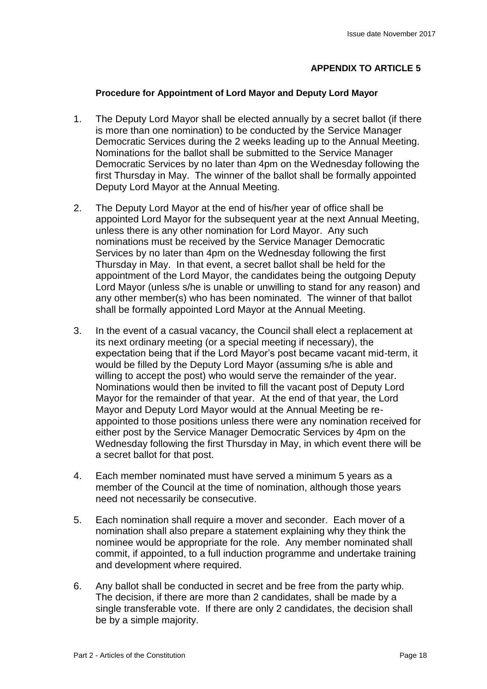## **APPENDIX TO ARTICLE 5**

## **Procedure for Appointment of Lord Mayor and Deputy Lord Mayor**

- 1. The Deputy Lord Mayor shall be elected annually by a secret ballot (if there is more than one nomination) to be conducted by the Service Manager Democratic Services during the 2 weeks leading up to the Annual Meeting. Nominations for the ballot shall be submitted to the Service Manager Democratic Services by no later than 4pm on the Wednesday following the first Thursday in May. The winner of the ballot shall be formally appointed Deputy Lord Mayor at the Annual Meeting.
- 2. The Deputy Lord Mayor at the end of his/her year of office shall be appointed Lord Mayor for the subsequent year at the next Annual Meeting, unless there is any other nomination for Lord Mayor. Any such nominations must be received by the Service Manager Democratic Services by no later than 4pm on the Wednesday following the first Thursday in May. In that event, a secret ballot shall be held for the appointment of the Lord Mayor, the candidates being the outgoing Deputy Lord Mayor (unless s/he is unable or unwilling to stand for any reason) and any other member(s) who has been nominated. The winner of that ballot shall be formally appointed Lord Mayor at the Annual Meeting.
- 3. In the event of a casual vacancy, the Council shall elect a replacement at its next ordinary meeting (or a special meeting if necessary), the expectation being that if the Lord Mayor's post became vacant mid-term, it would be filled by the Deputy Lord Mayor (assuming s/he is able and willing to accept the post) who would serve the remainder of the year. Nominations would then be invited to fill the vacant post of Deputy Lord Mayor for the remainder of that year. At the end of that year, the Lord Mayor and Deputy Lord Mayor would at the Annual Meeting be reappointed to those positions unless there were any nomination received for either post by the Service Manager Democratic Services by 4pm on the Wednesday following the first Thursday in May, in which event there will be a secret ballot for that post.
- 4. Each member nominated must have served a minimum 5 years as a member of the Council at the time of nomination, although those years need not necessarily be consecutive.
- 5. Each nomination shall require a mover and seconder. Each mover of a nomination shall also prepare a statement explaining why they think the nominee would be appropriate for the role. Any member nominated shall commit, if appointed, to a full induction programme and undertake training and development where required.
- 6. Any ballot shall be conducted in secret and be free from the party whip. The decision, if there are more than 2 candidates, shall be made by a single transferable vote. If there are only 2 candidates, the decision shall be by a simple majority.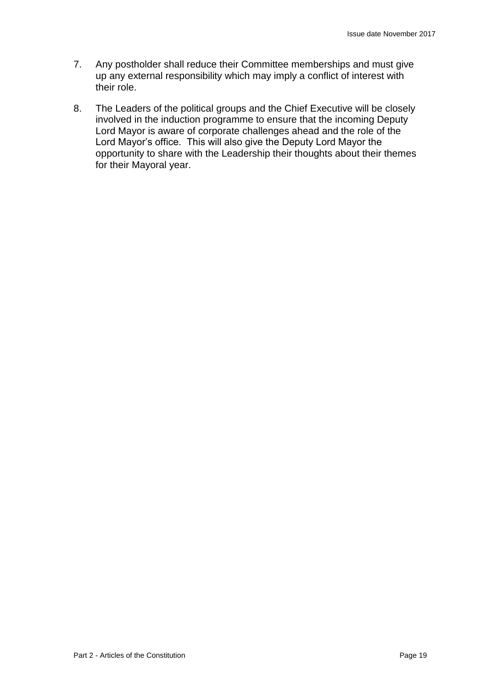- 7. Any postholder shall reduce their Committee memberships and must give up any external responsibility which may imply a conflict of interest with their role.
- 8. The Leaders of the political groups and the Chief Executive will be closely involved in the induction programme to ensure that the incoming Deputy Lord Mayor is aware of corporate challenges ahead and the role of the Lord Mayor's office. This will also give the Deputy Lord Mayor the opportunity to share with the Leadership their thoughts about their themes for their Mayoral year.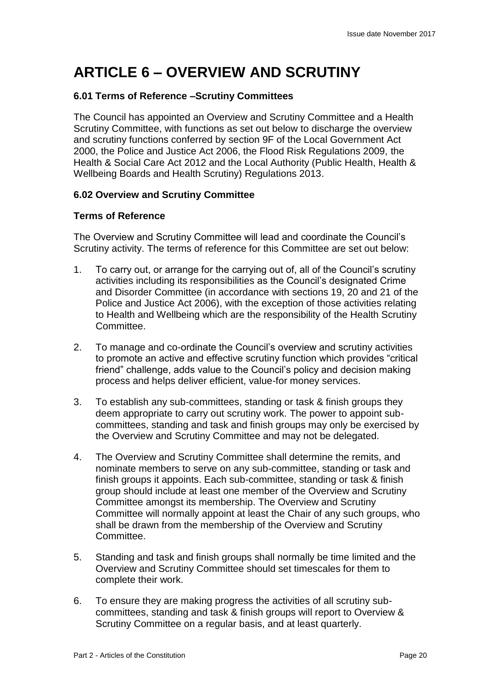## **ARTICLE 6 – OVERVIEW AND SCRUTINY**

## **6.01 Terms of Reference –Scrutiny Committees**

The Council has appointed an Overview and Scrutiny Committee and a Health Scrutiny Committee, with functions as set out below to discharge the overview and scrutiny functions conferred by section 9F of the Local Government Act 2000, the Police and Justice Act 2006, the Flood Risk Regulations 2009, the Health & Social Care Act 2012 and the Local Authority (Public Health, Health & Wellbeing Boards and Health Scrutiny) Regulations 2013.

## **6.02 Overview and Scrutiny Committee**

## **Terms of Reference**

The Overview and Scrutiny Committee will lead and coordinate the Council's Scrutiny activity. The terms of reference for this Committee are set out below:

- 1. To carry out, or arrange for the carrying out of, all of the Council's scrutiny activities including its responsibilities as the Council's designated Crime and Disorder Committee (in accordance with sections 19, 20 and 21 of the Police and Justice Act 2006), with the exception of those activities relating to Health and Wellbeing which are the responsibility of the Health Scrutiny Committee.
- 2. To manage and co-ordinate the Council's overview and scrutiny activities to promote an active and effective scrutiny function which provides "critical friend" challenge, adds value to the Council's policy and decision making process and helps deliver efficient, value-for money services.
- 3. To establish any sub-committees, standing or task & finish groups they deem appropriate to carry out scrutiny work. The power to appoint subcommittees, standing and task and finish groups may only be exercised by the Overview and Scrutiny Committee and may not be delegated.
- 4. The Overview and Scrutiny Committee shall determine the remits, and nominate members to serve on any sub-committee, standing or task and finish groups it appoints. Each sub-committee, standing or task & finish group should include at least one member of the Overview and Scrutiny Committee amongst its membership. The Overview and Scrutiny Committee will normally appoint at least the Chair of any such groups, who shall be drawn from the membership of the Overview and Scrutiny **Committee**
- 5. Standing and task and finish groups shall normally be time limited and the Overview and Scrutiny Committee should set timescales for them to complete their work.
- 6. To ensure they are making progress the activities of all scrutiny subcommittees, standing and task & finish groups will report to Overview & Scrutiny Committee on a regular basis, and at least quarterly.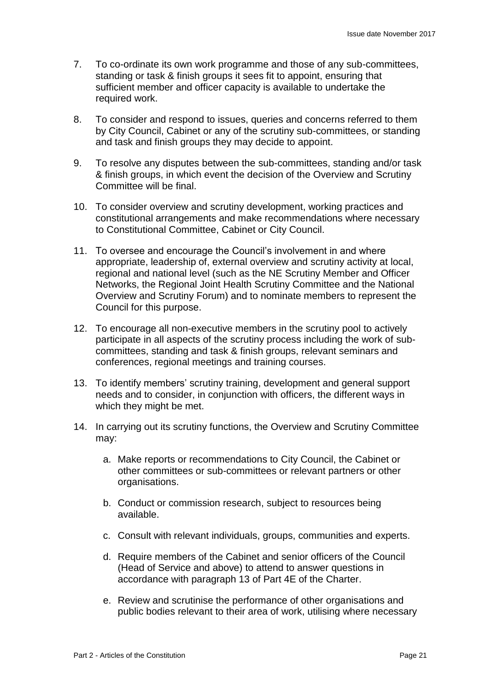- 7. To co-ordinate its own work programme and those of any sub-committees, standing or task & finish groups it sees fit to appoint, ensuring that sufficient member and officer capacity is available to undertake the required work.
- 8. To consider and respond to issues, queries and concerns referred to them by City Council, Cabinet or any of the scrutiny sub-committees, or standing and task and finish groups they may decide to appoint.
- 9. To resolve any disputes between the sub-committees, standing and/or task & finish groups, in which event the decision of the Overview and Scrutiny Committee will be final.
- 10. To consider overview and scrutiny development, working practices and constitutional arrangements and make recommendations where necessary to Constitutional Committee, Cabinet or City Council.
- 11. To oversee and encourage the Council's involvement in and where appropriate, leadership of, external overview and scrutiny activity at local, regional and national level (such as the NE Scrutiny Member and Officer Networks, the Regional Joint Health Scrutiny Committee and the National Overview and Scrutiny Forum) and to nominate members to represent the Council for this purpose.
- 12. To encourage all non-executive members in the scrutiny pool to actively participate in all aspects of the scrutiny process including the work of subcommittees, standing and task & finish groups, relevant seminars and conferences, regional meetings and training courses.
- 13. To identify members' scrutiny training, development and general support needs and to consider, in conjunction with officers, the different ways in which they might be met.
- 14. In carrying out its scrutiny functions, the Overview and Scrutiny Committee may:
	- a. Make reports or recommendations to City Council, the Cabinet or other committees or sub-committees or relevant partners or other organisations.
	- b. Conduct or commission research, subject to resources being available.
	- c. Consult with relevant individuals, groups, communities and experts.
	- d. Require members of the Cabinet and senior officers of the Council (Head of Service and above) to attend to answer questions in accordance with paragraph 13 of Part 4E of the Charter.
	- e. Review and scrutinise the performance of other organisations and public bodies relevant to their area of work, utilising where necessary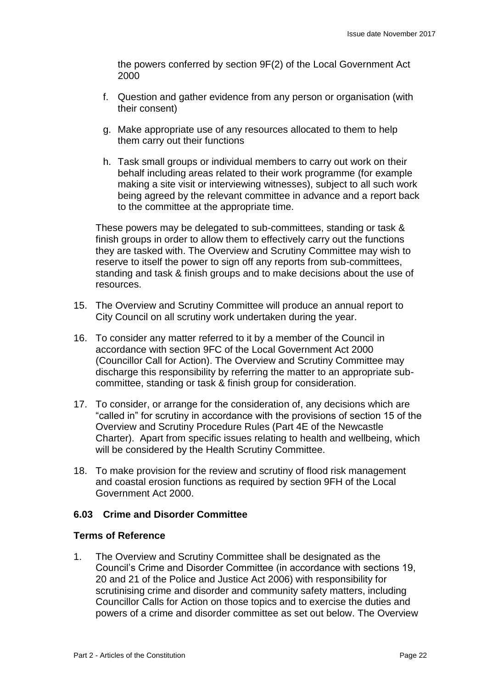the powers conferred by section 9F(2) of the Local Government Act 2000

- f. Question and gather evidence from any person or organisation (with their consent)
- g. Make appropriate use of any resources allocated to them to help them carry out their functions
- h. Task small groups or individual members to carry out work on their behalf including areas related to their work programme (for example making a site visit or interviewing witnesses), subject to all such work being agreed by the relevant committee in advance and a report back to the committee at the appropriate time.

These powers may be delegated to sub-committees, standing or task & finish groups in order to allow them to effectively carry out the functions they are tasked with. The Overview and Scrutiny Committee may wish to reserve to itself the power to sign off any reports from sub-committees, standing and task & finish groups and to make decisions about the use of resources.

- 15. The Overview and Scrutiny Committee will produce an annual report to City Council on all scrutiny work undertaken during the year.
- 16. To consider any matter referred to it by a member of the Council in accordance with section 9FC of the Local Government Act 2000 (Councillor Call for Action). The Overview and Scrutiny Committee may discharge this responsibility by referring the matter to an appropriate subcommittee, standing or task & finish group for consideration.
- 17. To consider, or arrange for the consideration of, any decisions which are "called in" for scrutiny in accordance with the provisions of section 15 of the Overview and Scrutiny Procedure Rules (Part 4E of the Newcastle Charter). Apart from specific issues relating to health and wellbeing, which will be considered by the Health Scrutiny Committee.
- 18. To make provision for the review and scrutiny of flood risk management and coastal erosion functions as required by section 9FH of the Local Government Act 2000.

## **6.03 Crime and Disorder Committee**

## **Terms of Reference**

1. The Overview and Scrutiny Committee shall be designated as the Council's Crime and Disorder Committee (in accordance with sections 19, 20 and 21 of the Police and Justice Act 2006) with responsibility for scrutinising crime and disorder and community safety matters, including Councillor Calls for Action on those topics and to exercise the duties and powers of a crime and disorder committee as set out below. The Overview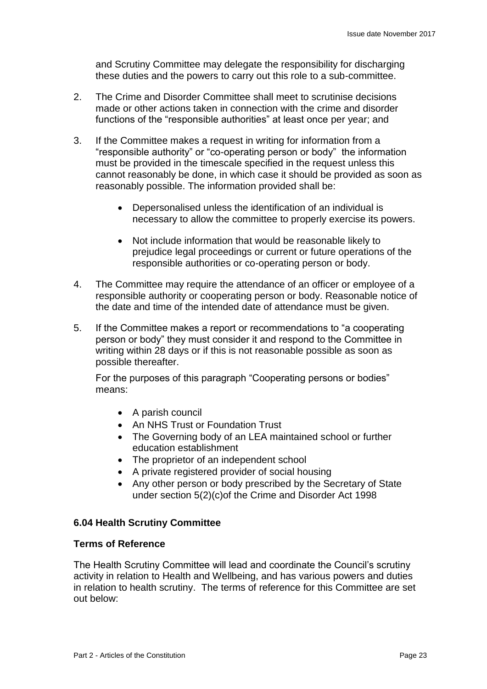and Scrutiny Committee may delegate the responsibility for discharging these duties and the powers to carry out this role to a sub-committee.

- 2. The Crime and Disorder Committee shall meet to scrutinise decisions made or other actions taken in connection with the crime and disorder functions of the "responsible authorities" at least once per year; and
- 3. If the Committee makes a request in writing for information from a "responsible authority" or "co-operating person or body" the information must be provided in the timescale specified in the request unless this cannot reasonably be done, in which case it should be provided as soon as reasonably possible. The information provided shall be:
	- Depersonalised unless the identification of an individual is necessary to allow the committee to properly exercise its powers.
	- Not include information that would be reasonable likely to prejudice legal proceedings or current or future operations of the responsible authorities or co-operating person or body.
- 4. The Committee may require the attendance of an officer or employee of a responsible authority or cooperating person or body. Reasonable notice of the date and time of the intended date of attendance must be given.
- 5. If the Committee makes a report or recommendations to "a cooperating person or body" they must consider it and respond to the Committee in writing within 28 days or if this is not reasonable possible as soon as possible thereafter.

For the purposes of this paragraph "Cooperating persons or bodies" means:

- A parish council
- An NHS Trust or Foundation Trust
- The Governing body of an LEA maintained school or further education establishment
- The proprietor of an independent school
- A private registered provider of social housing
- Any other person or body prescribed by the Secretary of State under section 5(2)(c)of the Crime and Disorder Act 1998

## **6.04 Health Scrutiny Committee**

## **Terms of Reference**

The Health Scrutiny Committee will lead and coordinate the Council's scrutiny activity in relation to Health and Wellbeing, and has various powers and duties in relation to health scrutiny. The terms of reference for this Committee are set out below: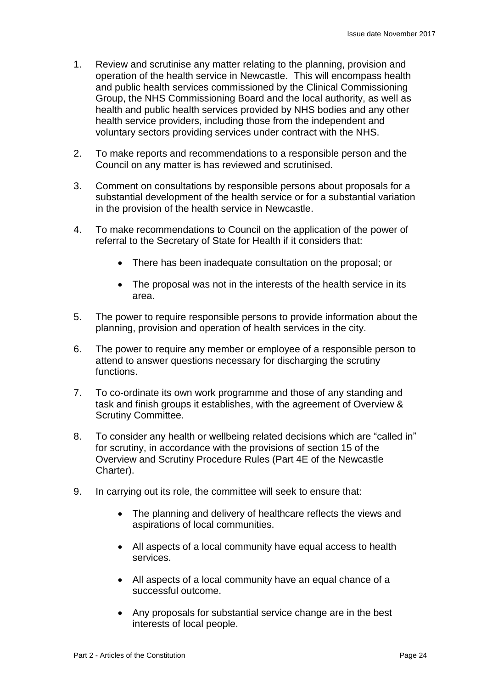- 1. Review and scrutinise any matter relating to the planning, provision and operation of the health service in Newcastle. This will encompass health and public health services commissioned by the Clinical Commissioning Group, the NHS Commissioning Board and the local authority, as well as health and public health services provided by NHS bodies and any other health service providers, including those from the independent and voluntary sectors providing services under contract with the NHS.
- 2. To make reports and recommendations to a responsible person and the Council on any matter is has reviewed and scrutinised.
- 3. Comment on consultations by responsible persons about proposals for a substantial development of the health service or for a substantial variation in the provision of the health service in Newcastle.
- 4. To make recommendations to Council on the application of the power of referral to the Secretary of State for Health if it considers that:
	- There has been inadequate consultation on the proposal; or
	- The proposal was not in the interests of the health service in its area.
- 5. The power to require responsible persons to provide information about the planning, provision and operation of health services in the city.
- 6. The power to require any member or employee of a responsible person to attend to answer questions necessary for discharging the scrutiny functions.
- 7. To co-ordinate its own work programme and those of any standing and task and finish groups it establishes, with the agreement of Overview & Scrutiny Committee.
- 8. To consider any health or wellbeing related decisions which are "called in" for scrutiny, in accordance with the provisions of section 15 of the Overview and Scrutiny Procedure Rules (Part 4E of the Newcastle Charter).
- 9. In carrying out its role, the committee will seek to ensure that:
	- The planning and delivery of healthcare reflects the views and aspirations of local communities.
	- All aspects of a local community have equal access to health services.
	- All aspects of a local community have an equal chance of a successful outcome.
	- Any proposals for substantial service change are in the best interests of local people.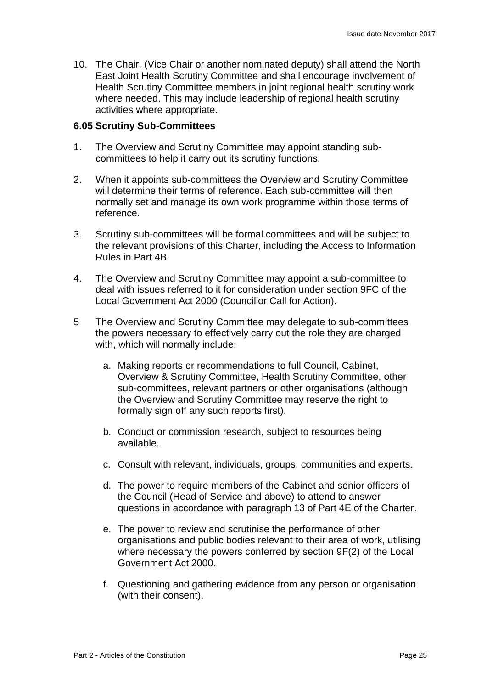10. The Chair, (Vice Chair or another nominated deputy) shall attend the North East Joint Health Scrutiny Committee and shall encourage involvement of Health Scrutiny Committee members in joint regional health scrutiny work where needed. This may include leadership of regional health scrutiny activities where appropriate.

## **6.05 Scrutiny Sub-Committees**

- 1. The Overview and Scrutiny Committee may appoint standing subcommittees to help it carry out its scrutiny functions.
- 2. When it appoints sub-committees the Overview and Scrutiny Committee will determine their terms of reference. Each sub-committee will then normally set and manage its own work programme within those terms of reference.
- 3. Scrutiny sub-committees will be formal committees and will be subject to the relevant provisions of this Charter, including the Access to Information Rules in Part 4B.
- 4. The Overview and Scrutiny Committee may appoint a sub-committee to deal with issues referred to it for consideration under section 9FC of the Local Government Act 2000 (Councillor Call for Action).
- 5 The Overview and Scrutiny Committee may delegate to sub-committees the powers necessary to effectively carry out the role they are charged with, which will normally include:
	- a. Making reports or recommendations to full Council, Cabinet, Overview & Scrutiny Committee, Health Scrutiny Committee, other sub-committees, relevant partners or other organisations (although the Overview and Scrutiny Committee may reserve the right to formally sign off any such reports first).
	- b. Conduct or commission research, subject to resources being available.
	- c. Consult with relevant, individuals, groups, communities and experts.
	- d. The power to require members of the Cabinet and senior officers of the Council (Head of Service and above) to attend to answer questions in accordance with paragraph 13 of Part 4E of the Charter.
	- e. The power to review and scrutinise the performance of other organisations and public bodies relevant to their area of work, utilising where necessary the powers conferred by section 9F(2) of the Local Government Act 2000.
	- f. Questioning and gathering evidence from any person or organisation (with their consent).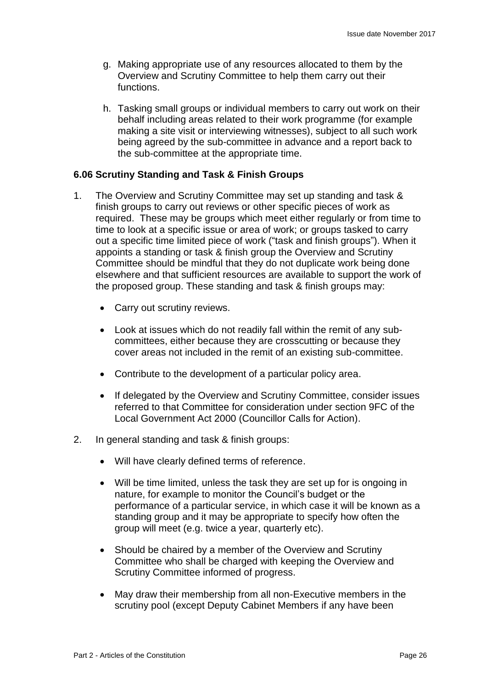- g. Making appropriate use of any resources allocated to them by the Overview and Scrutiny Committee to help them carry out their functions.
- h. Tasking small groups or individual members to carry out work on their behalf including areas related to their work programme (for example making a site visit or interviewing witnesses), subject to all such work being agreed by the sub-committee in advance and a report back to the sub-committee at the appropriate time.

## **6.06 Scrutiny Standing and Task & Finish Groups**

- 1. The Overview and Scrutiny Committee may set up standing and task & finish groups to carry out reviews or other specific pieces of work as required. These may be groups which meet either regularly or from time to time to look at a specific issue or area of work; or groups tasked to carry out a specific time limited piece of work ("task and finish groups"). When it appoints a standing or task & finish group the Overview and Scrutiny Committee should be mindful that they do not duplicate work being done elsewhere and that sufficient resources are available to support the work of the proposed group. These standing and task & finish groups may:
	- Carry out scrutiny reviews.
	- Look at issues which do not readily fall within the remit of any subcommittees, either because they are crosscutting or because they cover areas not included in the remit of an existing sub-committee.
	- Contribute to the development of a particular policy area.
	- If delegated by the Overview and Scrutiny Committee, consider issues referred to that Committee for consideration under section 9FC of the Local Government Act 2000 (Councillor Calls for Action).
- 2. In general standing and task & finish groups:
	- Will have clearly defined terms of reference.
	- Will be time limited, unless the task they are set up for is ongoing in nature, for example to monitor the Council's budget or the performance of a particular service, in which case it will be known as a standing group and it may be appropriate to specify how often the group will meet (e.g. twice a year, quarterly etc).
	- Should be chaired by a member of the Overview and Scrutiny Committee who shall be charged with keeping the Overview and Scrutiny Committee informed of progress.
	- May draw their membership from all non-Executive members in the scrutiny pool (except Deputy Cabinet Members if any have been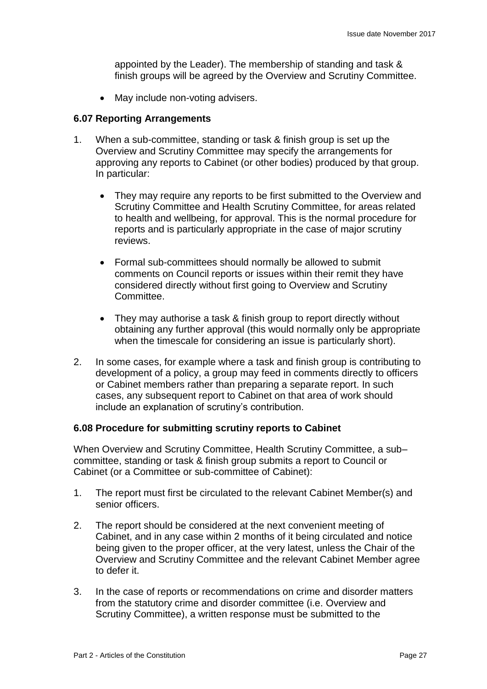appointed by the Leader). The membership of standing and task & finish groups will be agreed by the Overview and Scrutiny Committee.

• May include non-voting advisers.

## **6.07 Reporting Arrangements**

- 1. When a sub-committee, standing or task & finish group is set up the Overview and Scrutiny Committee may specify the arrangements for approving any reports to Cabinet (or other bodies) produced by that group. In particular:
	- They may require any reports to be first submitted to the Overview and Scrutiny Committee and Health Scrutiny Committee, for areas related to health and wellbeing, for approval. This is the normal procedure for reports and is particularly appropriate in the case of major scrutiny reviews.
	- Formal sub-committees should normally be allowed to submit comments on Council reports or issues within their remit they have considered directly without first going to Overview and Scrutiny Committee.
	- They may authorise a task & finish group to report directly without obtaining any further approval (this would normally only be appropriate when the timescale for considering an issue is particularly short).
- 2. In some cases, for example where a task and finish group is contributing to development of a policy, a group may feed in comments directly to officers or Cabinet members rather than preparing a separate report. In such cases, any subsequent report to Cabinet on that area of work should include an explanation of scrutiny's contribution.

## **6.08 Procedure for submitting scrutiny reports to Cabinet**

When Overview and Scrutiny Committee, Health Scrutiny Committee, a sub– committee, standing or task & finish group submits a report to Council or Cabinet (or a Committee or sub-committee of Cabinet):

- 1. The report must first be circulated to the relevant Cabinet Member(s) and senior officers.
- 2. The report should be considered at the next convenient meeting of Cabinet, and in any case within 2 months of it being circulated and notice being given to the proper officer, at the very latest, unless the Chair of the Overview and Scrutiny Committee and the relevant Cabinet Member agree to defer it.
- 3. In the case of reports or recommendations on crime and disorder matters from the statutory crime and disorder committee (i.e. Overview and Scrutiny Committee), a written response must be submitted to the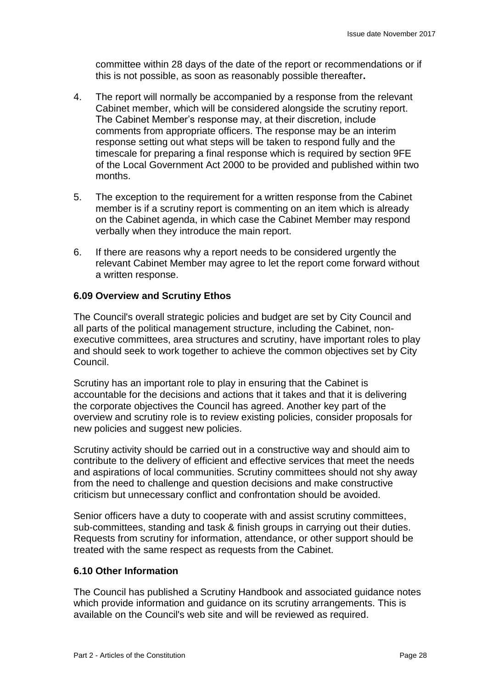committee within 28 days of the date of the report or recommendations or if this is not possible, as soon as reasonably possible thereafter**.**

- 4. The report will normally be accompanied by a response from the relevant Cabinet member, which will be considered alongside the scrutiny report. The Cabinet Member's response may, at their discretion, include comments from appropriate officers. The response may be an interim response setting out what steps will be taken to respond fully and the timescale for preparing a final response which is required by section 9FE of the Local Government Act 2000 to be provided and published within two months.
- 5. The exception to the requirement for a written response from the Cabinet member is if a scrutiny report is commenting on an item which is already on the Cabinet agenda, in which case the Cabinet Member may respond verbally when they introduce the main report.
- 6. If there are reasons why a report needs to be considered urgently the relevant Cabinet Member may agree to let the report come forward without a written response.

## **6.09 Overview and Scrutiny Ethos**

The Council's overall strategic policies and budget are set by City Council and all parts of the political management structure, including the Cabinet, nonexecutive committees, area structures and scrutiny, have important roles to play and should seek to work together to achieve the common objectives set by City Council.

Scrutiny has an important role to play in ensuring that the Cabinet is accountable for the decisions and actions that it takes and that it is delivering the corporate objectives the Council has agreed. Another key part of the overview and scrutiny role is to review existing policies, consider proposals for new policies and suggest new policies.

Scrutiny activity should be carried out in a constructive way and should aim to contribute to the delivery of efficient and effective services that meet the needs and aspirations of local communities. Scrutiny committees should not shy away from the need to challenge and question decisions and make constructive criticism but unnecessary conflict and confrontation should be avoided.

Senior officers have a duty to cooperate with and assist scrutiny committees, sub-committees, standing and task & finish groups in carrying out their duties. Requests from scrutiny for information, attendance, or other support should be treated with the same respect as requests from the Cabinet.

## **6.10 Other Information**

The Council has published a Scrutiny Handbook and associated guidance notes which provide information and quidance on its scrutiny arrangements. This is available on the Council's web site and will be reviewed as required.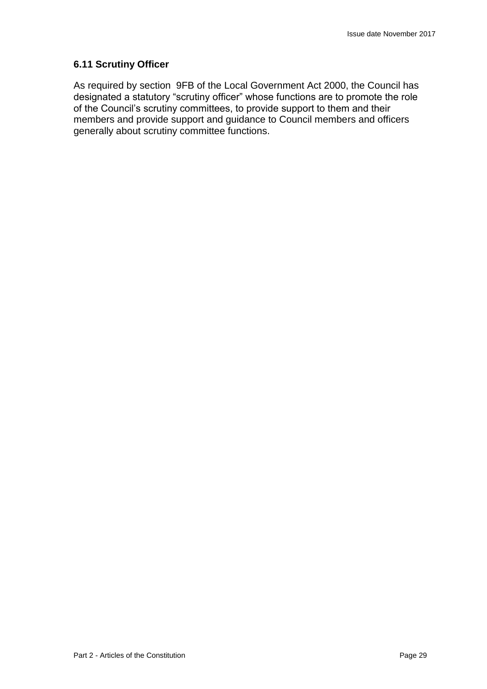## **6.11 Scrutiny Officer**

As required by section 9FB of the Local Government Act 2000, the Council has designated a statutory "scrutiny officer" whose functions are to promote the role of the Council's scrutiny committees, to provide support to them and their members and provide support and guidance to Council members and officers generally about scrutiny committee functions.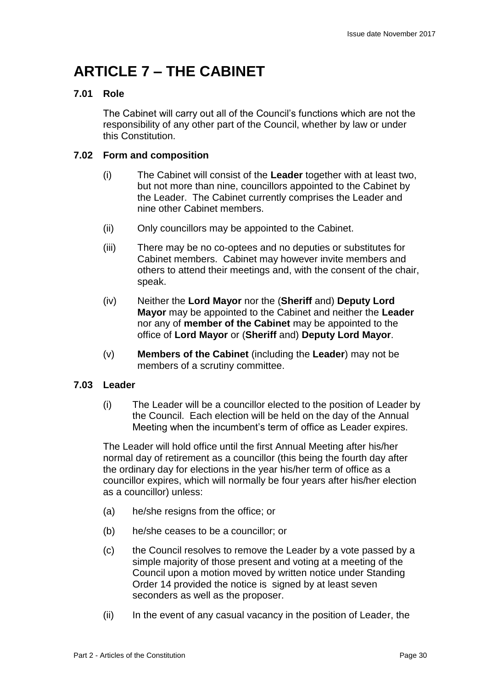## **ARTICLE 7 – THE CABINET**

## **7.01 Role**

The Cabinet will carry out all of the Council's functions which are not the responsibility of any other part of the Council, whether by law or under this Constitution.

## **7.02 Form and composition**

- (i) The Cabinet will consist of the **Leader** together with at least two, but not more than nine, councillors appointed to the Cabinet by the Leader. The Cabinet currently comprises the Leader and nine other Cabinet members.
- (ii) Only councillors may be appointed to the Cabinet.
- (iii) There may be no co-optees and no deputies or substitutes for Cabinet members. Cabinet may however invite members and others to attend their meetings and, with the consent of the chair, speak.
- (iv) Neither the **Lord Mayor** nor the (**Sheriff** and) **Deputy Lord Mayor** may be appointed to the Cabinet and neither the **Leader** nor any of **member of the Cabinet** may be appointed to the office of **Lord Mayor** or (**Sheriff** and) **Deputy Lord Mayor**.
- (v) **Members of the Cabinet** (including the **Leader**) may not be members of a scrutiny committee.

## **7.03 Leader**

(i) The Leader will be a councillor elected to the position of Leader by the Council. Each election will be held on the day of the Annual Meeting when the incumbent's term of office as Leader expires.

The Leader will hold office until the first Annual Meeting after his/her normal day of retirement as a councillor (this being the fourth day after the ordinary day for elections in the year his/her term of office as a councillor expires, which will normally be four years after his/her election as a councillor) unless:

- (a) he/she resigns from the office; or
- (b) he/she ceases to be a councillor; or
- (c) the Council resolves to remove the Leader by a vote passed by a simple majority of those present and voting at a meeting of the Council upon a motion moved by written notice under Standing Order 14 provided the notice is signed by at least seven seconders as well as the proposer.
- (ii) In the event of any casual vacancy in the position of Leader, the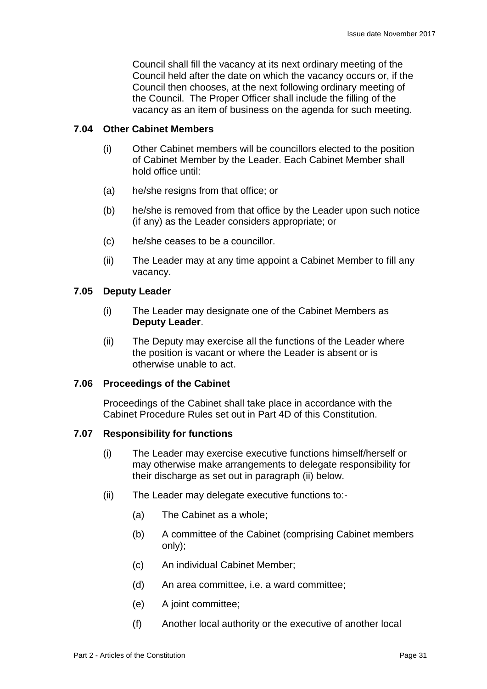Council shall fill the vacancy at its next ordinary meeting of the Council held after the date on which the vacancy occurs or, if the Council then chooses, at the next following ordinary meeting of the Council. The Proper Officer shall include the filling of the vacancy as an item of business on the agenda for such meeting.

## **7.04 Other Cabinet Members**

- (i) Other Cabinet members will be councillors elected to the position of Cabinet Member by the Leader. Each Cabinet Member shall hold office until:
- (a) he/she resigns from that office; or
- (b) he/she is removed from that office by the Leader upon such notice (if any) as the Leader considers appropriate; or
- (c) he/she ceases to be a councillor.
- (ii) The Leader may at any time appoint a Cabinet Member to fill any vacancy.

### **7.05 Deputy Leader**

- (i) The Leader may designate one of the Cabinet Members as **Deputy Leader**.
- (ii) The Deputy may exercise all the functions of the Leader where the position is vacant or where the Leader is absent or is otherwise unable to act.

#### **7.06 Proceedings of the Cabinet**

Proceedings of the Cabinet shall take place in accordance with the Cabinet Procedure Rules set out in Part 4D of this Constitution.

## **7.07 Responsibility for functions**

- (i) The Leader may exercise executive functions himself/herself or may otherwise make arrangements to delegate responsibility for their discharge as set out in paragraph (ii) below.
- (ii) The Leader may delegate executive functions to:-
	- (a) The Cabinet as a whole;
	- (b) A committee of the Cabinet (comprising Cabinet members only);
	- (c) An individual Cabinet Member;
	- (d) An area committee, i.e. a ward committee;
	- (e) A joint committee;
	- (f) Another local authority or the executive of another local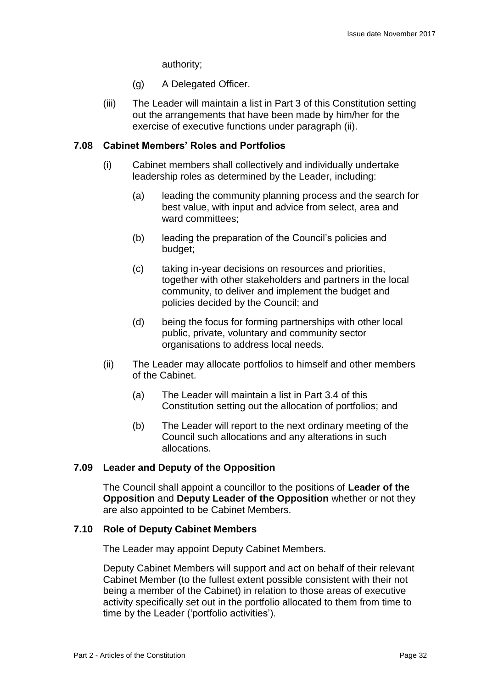authority;

- (g) A Delegated Officer.
- (iii) The Leader will maintain a list in Part 3 of this Constitution setting out the arrangements that have been made by him/her for the exercise of executive functions under paragraph (ii).

## **7.08 Cabinet Members' Roles and Portfolios**

- (i) Cabinet members shall collectively and individually undertake leadership roles as determined by the Leader, including:
	- (a) leading the community planning process and the search for best value, with input and advice from select, area and ward committees;
	- (b) leading the preparation of the Council's policies and budget;
	- (c) taking in-year decisions on resources and priorities, together with other stakeholders and partners in the local community, to deliver and implement the budget and policies decided by the Council; and
	- (d) being the focus for forming partnerships with other local public, private, voluntary and community sector organisations to address local needs.
- (ii) The Leader may allocate portfolios to himself and other members of the Cabinet.
	- (a) The Leader will maintain a list in Part 3.4 of this Constitution setting out the allocation of portfolios; and
	- (b) The Leader will report to the next ordinary meeting of the Council such allocations and any alterations in such allocations.

## **7.09 Leader and Deputy of the Opposition**

The Council shall appoint a councillor to the positions of **Leader of the Opposition** and **Deputy Leader of the Opposition** whether or not they are also appointed to be Cabinet Members.

## **7.10 Role of Deputy Cabinet Members**

The Leader may appoint Deputy Cabinet Members.

Deputy Cabinet Members will support and act on behalf of their relevant Cabinet Member (to the fullest extent possible consistent with their not being a member of the Cabinet) in relation to those areas of executive activity specifically set out in the portfolio allocated to them from time to time by the Leader ('portfolio activities').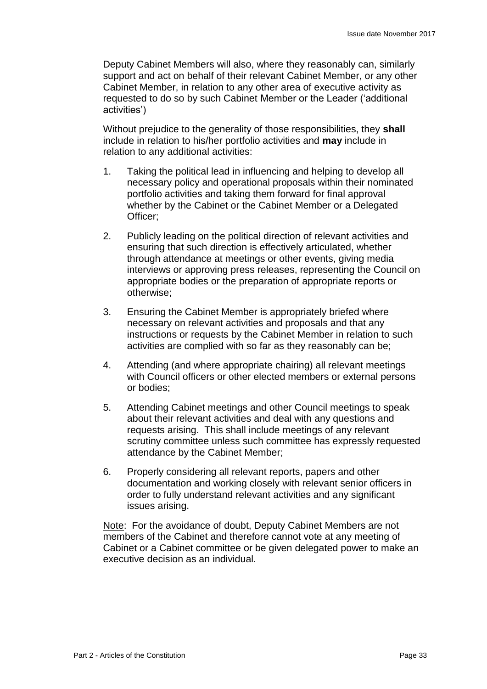Deputy Cabinet Members will also, where they reasonably can, similarly support and act on behalf of their relevant Cabinet Member, or any other Cabinet Member, in relation to any other area of executive activity as requested to do so by such Cabinet Member or the Leader ('additional activities')

Without prejudice to the generality of those responsibilities, they **shall** include in relation to his/her portfolio activities and **may** include in relation to any additional activities:

- 1. Taking the political lead in influencing and helping to develop all necessary policy and operational proposals within their nominated portfolio activities and taking them forward for final approval whether by the Cabinet or the Cabinet Member or a Delegated Officer;
- 2. Publicly leading on the political direction of relevant activities and ensuring that such direction is effectively articulated, whether through attendance at meetings or other events, giving media interviews or approving press releases, representing the Council on appropriate bodies or the preparation of appropriate reports or otherwise;
- 3. Ensuring the Cabinet Member is appropriately briefed where necessary on relevant activities and proposals and that any instructions or requests by the Cabinet Member in relation to such activities are complied with so far as they reasonably can be;
- 4. Attending (and where appropriate chairing) all relevant meetings with Council officers or other elected members or external persons or bodies;
- 5. Attending Cabinet meetings and other Council meetings to speak about their relevant activities and deal with any questions and requests arising. This shall include meetings of any relevant scrutiny committee unless such committee has expressly requested attendance by the Cabinet Member;
- 6. Properly considering all relevant reports, papers and other documentation and working closely with relevant senior officers in order to fully understand relevant activities and any significant issues arising.

Note: For the avoidance of doubt, Deputy Cabinet Members are not members of the Cabinet and therefore cannot vote at any meeting of Cabinet or a Cabinet committee or be given delegated power to make an executive decision as an individual.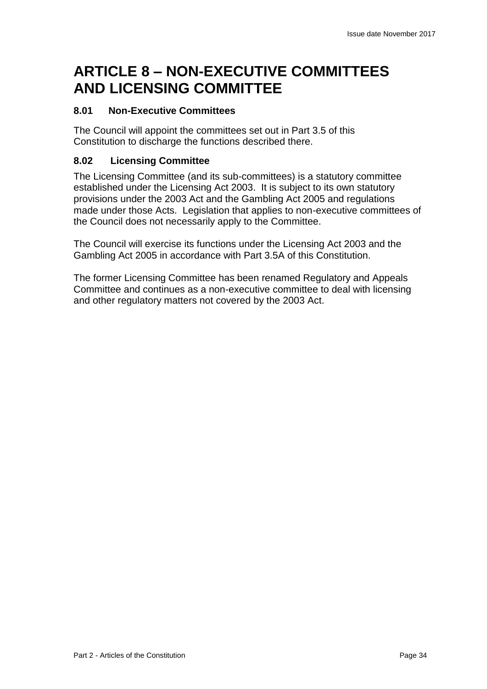## **ARTICLE 8 – NON-EXECUTIVE COMMITTEES AND LICENSING COMMITTEE**

## **8.01 Non-Executive Committees**

The Council will appoint the committees set out in Part 3.5 of this Constitution to discharge the functions described there.

## **8.02 Licensing Committee**

The Licensing Committee (and its sub-committees) is a statutory committee established under the Licensing Act 2003. It is subject to its own statutory provisions under the 2003 Act and the Gambling Act 2005 and regulations made under those Acts. Legislation that applies to non-executive committees of the Council does not necessarily apply to the Committee.

The Council will exercise its functions under the Licensing Act 2003 and the Gambling Act 2005 in accordance with Part 3.5A of this Constitution.

The former Licensing Committee has been renamed Regulatory and Appeals Committee and continues as a non-executive committee to deal with licensing and other regulatory matters not covered by the 2003 Act.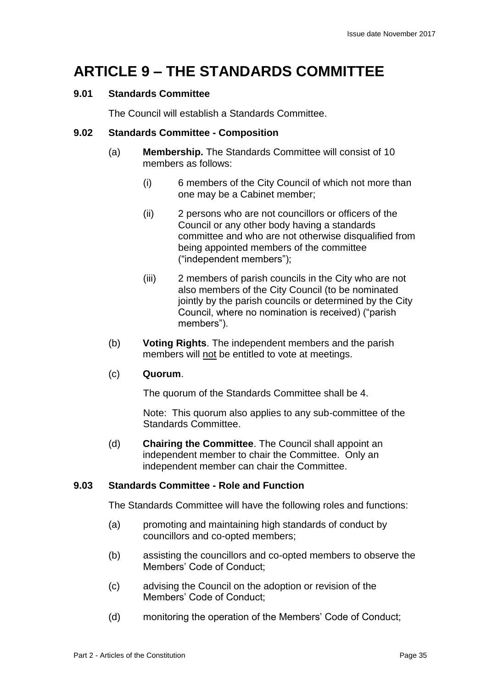## **ARTICLE 9 – THE STANDARDS COMMITTEE**

## **9.01 Standards Committee**

The Council will establish a Standards Committee.

## **9.02 Standards Committee - Composition**

- (a) **Membership.** The Standards Committee will consist of 10 members as follows:
	- (i) 6 members of the City Council of which not more than one may be a Cabinet member;
	- (ii) 2 persons who are not councillors or officers of the Council or any other body having a standards committee and who are not otherwise disqualified from being appointed members of the committee ("independent members");
	- (iii) 2 members of parish councils in the City who are not also members of the City Council (to be nominated jointly by the parish councils or determined by the City Council, where no nomination is received) ("parish members").
- (b) **Voting Rights**. The independent members and the parish members will not be entitled to vote at meetings.

## (c) **Quorum**.

The quorum of the Standards Committee shall be 4.

Note: This quorum also applies to any sub-committee of the Standards Committee.

(d) **Chairing the Committee**. The Council shall appoint an independent member to chair the Committee. Only an independent member can chair the Committee.

## **9.03 Standards Committee - Role and Function**

The Standards Committee will have the following roles and functions:

- (a) promoting and maintaining high standards of conduct by councillors and co-opted members;
- (b) assisting the councillors and co-opted members to observe the Members' Code of Conduct;
- (c) advising the Council on the adoption or revision of the Members' Code of Conduct;
- (d) monitoring the operation of the Members' Code of Conduct;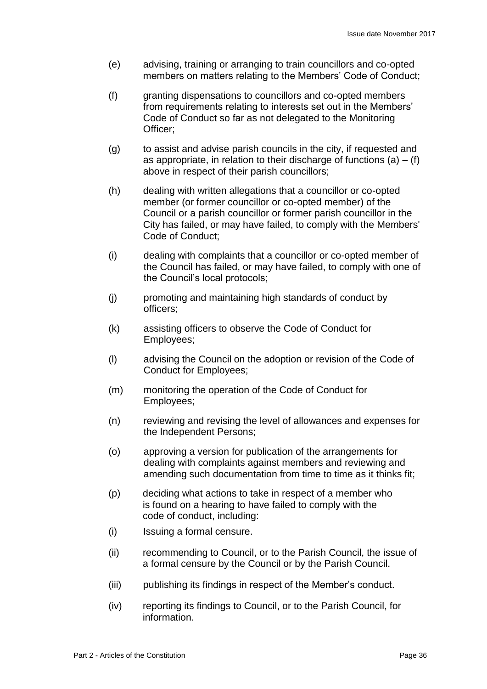- (e) advising, training or arranging to train councillors and co-opted members on matters relating to the Members' Code of Conduct;
- (f) granting dispensations to councillors and co-opted members from requirements relating to interests set out in the Members' Code of Conduct so far as not delegated to the Monitoring Officer;
- (g) to assist and advise parish councils in the city, if requested and as appropriate, in relation to their discharge of functions  $(a) - (f)$ above in respect of their parish councillors;
- (h) dealing with written allegations that a councillor or co-opted member (or former councillor or co-opted member) of the Council or a parish councillor or former parish councillor in the City has failed, or may have failed, to comply with the Members' Code of Conduct;
- (i) dealing with complaints that a councillor or co-opted member of the Council has failed, or may have failed, to comply with one of the Council's local protocols;
- (j) promoting and maintaining high standards of conduct by officers;
- (k) assisting officers to observe the Code of Conduct for Employees;
- (l) advising the Council on the adoption or revision of the Code of Conduct for Employees;
- (m) monitoring the operation of the Code of Conduct for Employees;
- (n) reviewing and revising the level of allowances and expenses for the Independent Persons;
- (o) approving a version for publication of the arrangements for dealing with complaints against members and reviewing and amending such documentation from time to time as it thinks fit;
- (p) deciding what actions to take in respect of a member who is found on a hearing to have failed to comply with the code of conduct, including:
- (i) Issuing a formal censure.
- (ii) recommending to Council, or to the Parish Council, the issue of a formal censure by the Council or by the Parish Council.
- (iii) publishing its findings in respect of the Member's conduct.
- (iv) reporting its findings to Council, or to the Parish Council, for information.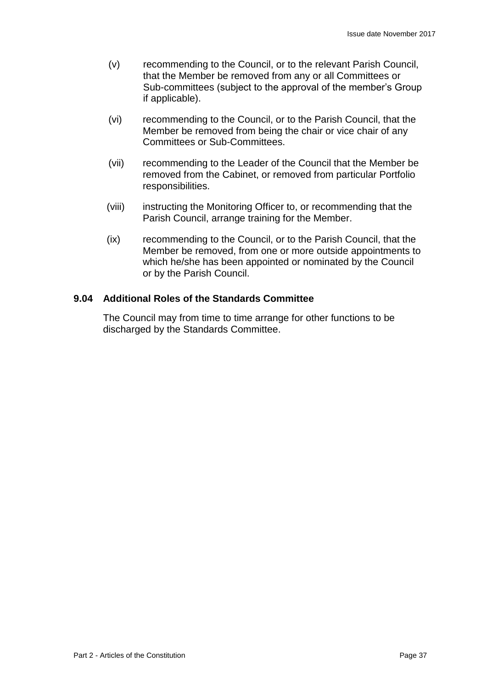- (v) recommending to the Council, or to the relevant Parish Council, that the Member be removed from any or all Committees or Sub-committees (subject to the approval of the member's Group if applicable).
- (vi) recommending to the Council, or to the Parish Council, that the Member be removed from being the chair or vice chair of any Committees or Sub-Committees.
- (vii) recommending to the Leader of the Council that the Member be removed from the Cabinet, or removed from particular Portfolio responsibilities.
- (viii) instructing the Monitoring Officer to, or recommending that the Parish Council, arrange training for the Member.
- (ix) recommending to the Council, or to the Parish Council, that the Member be removed, from one or more outside appointments to which he/she has been appointed or nominated by the Council or by the Parish Council.

## **9.04 Additional Roles of the Standards Committee**

The Council may from time to time arrange for other functions to be discharged by the Standards Committee.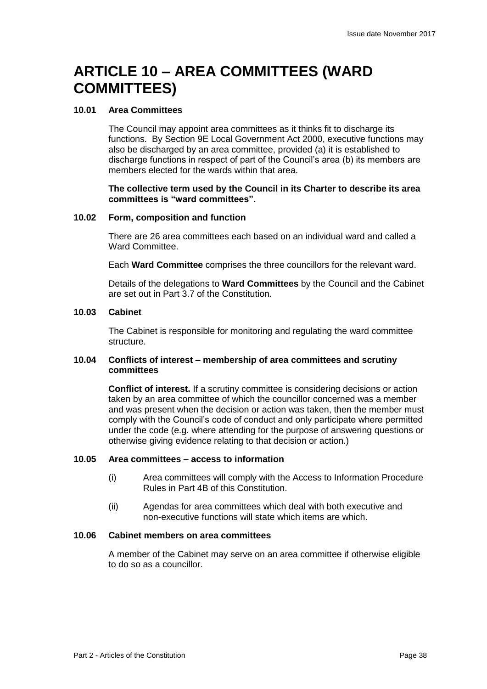## **ARTICLE 10 – AREA COMMITTEES (WARD COMMITTEES)**

### **10.01 Area Committees**

The Council may appoint area committees as it thinks fit to discharge its functions. By Section 9E Local Government Act 2000, executive functions may also be discharged by an area committee, provided (a) it is established to discharge functions in respect of part of the Council's area (b) its members are members elected for the wards within that area.

#### **The collective term used by the Council in its Charter to describe its area committees is "ward committees".**

#### **10.02 Form, composition and function**

There are 26 area committees each based on an individual ward and called a Ward Committee.

Each **Ward Committee** comprises the three councillors for the relevant ward.

Details of the delegations to **Ward Committees** by the Council and the Cabinet are set out in Part 3.7 of the Constitution.

#### **10.03 Cabinet**

The Cabinet is responsible for monitoring and regulating the ward committee structure.

#### **10.04 Conflicts of interest – membership of area committees and scrutiny committees**

**Conflict of interest.** If a scrutiny committee is considering decisions or action taken by an area committee of which the councillor concerned was a member and was present when the decision or action was taken, then the member must comply with the Council's code of conduct and only participate where permitted under the code (e.g. where attending for the purpose of answering questions or otherwise giving evidence relating to that decision or action.)

#### **10.05 Area committees – access to information**

- (i) Area committees will comply with the Access to Information Procedure Rules in Part 4B of this Constitution.
- (ii) Agendas for area committees which deal with both executive and non-executive functions will state which items are which.

#### **10.06 Cabinet members on area committees**

A member of the Cabinet may serve on an area committee if otherwise eligible to do so as a councillor.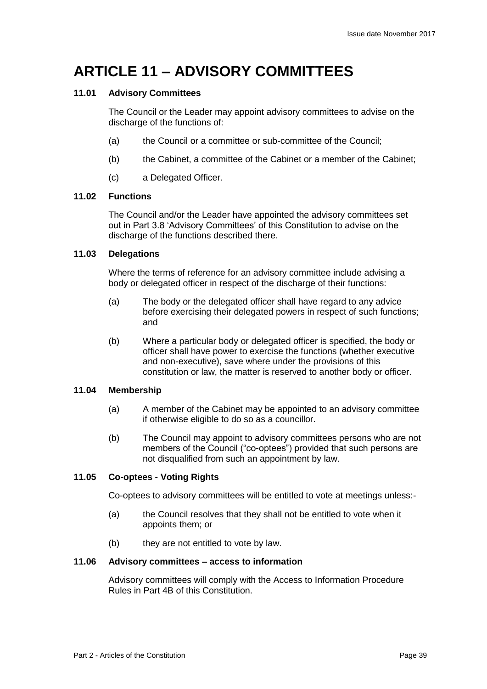## **ARTICLE 11 – ADVISORY COMMITTEES**

## **11.01 Advisory Committees**

The Council or the Leader may appoint advisory committees to advise on the discharge of the functions of:

- (a) the Council or a committee or sub-committee of the Council;
- (b) the Cabinet, a committee of the Cabinet or a member of the Cabinet;
- (c) a Delegated Officer.

#### **11.02 Functions**

The Council and/or the Leader have appointed the advisory committees set out in Part 3.8 'Advisory Committees' of this Constitution to advise on the discharge of the functions described there.

## **11.03 Delegations**

Where the terms of reference for an advisory committee include advising a body or delegated officer in respect of the discharge of their functions:

- (a) The body or the delegated officer shall have regard to any advice before exercising their delegated powers in respect of such functions; and
- (b) Where a particular body or delegated officer is specified, the body or officer shall have power to exercise the functions (whether executive and non-executive), save where under the provisions of this constitution or law, the matter is reserved to another body or officer.

### **11.04 Membership**

- (a) A member of the Cabinet may be appointed to an advisory committee if otherwise eligible to do so as a councillor.
- (b) The Council may appoint to advisory committees persons who are not members of the Council ("co-optees") provided that such persons are not disqualified from such an appointment by law.

## **11.05 Co-optees - Voting Rights**

Co-optees to advisory committees will be entitled to vote at meetings unless:-

- (a) the Council resolves that they shall not be entitled to vote when it appoints them; or
- (b) they are not entitled to vote by law.

#### **11.06 Advisory committees – access to information**

Advisory committees will comply with the Access to Information Procedure Rules in Part 4B of this Constitution.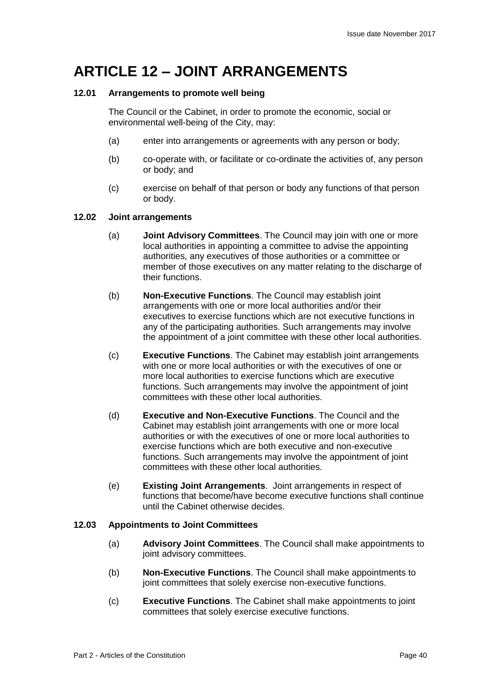## **ARTICLE 12 – JOINT ARRANGEMENTS**

### **12.01 Arrangements to promote well being**

The Council or the Cabinet, in order to promote the economic, social or environmental well-being of the City, may:

- (a) enter into arrangements or agreements with any person or body;
- (b) co-operate with, or facilitate or co-ordinate the activities of, any person or body; and
- (c) exercise on behalf of that person or body any functions of that person or body.

#### **12.02 Joint arrangements**

- (a) **Joint Advisory Committees**. The Council may join with one or more local authorities in appointing a committee to advise the appointing authorities, any executives of those authorities or a committee or member of those executives on any matter relating to the discharge of their functions.
- (b) **Non-Executive Functions**. The Council may establish joint arrangements with one or more local authorities and/or their executives to exercise functions which are not executive functions in any of the participating authorities. Such arrangements may involve the appointment of a joint committee with these other local authorities.
- (c) **Executive Functions**. The Cabinet may establish joint arrangements with one or more local authorities or with the executives of one or more local authorities to exercise functions which are executive functions. Such arrangements may involve the appointment of joint committees with these other local authorities.
- (d) **Executive and Non-Executive Functions**. The Council and the Cabinet may establish joint arrangements with one or more local authorities or with the executives of one or more local authorities to exercise functions which are both executive and non-executive functions. Such arrangements may involve the appointment of joint committees with these other local authorities.
- (e) **Existing Joint Arrangements**. Joint arrangements in respect of functions that become/have become executive functions shall continue until the Cabinet otherwise decides.

## **12.03 Appointments to Joint Committees**

- (a) **Advisory Joint Committees**. The Council shall make appointments to joint advisory committees.
- (b) **Non-Executive Functions**. The Council shall make appointments to joint committees that solely exercise non-executive functions.
- (c) **Executive Functions**. The Cabinet shall make appointments to joint committees that solely exercise executive functions.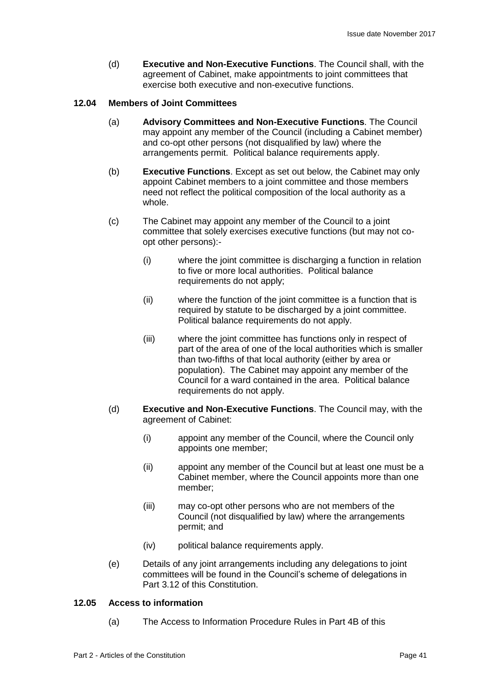(d) **Executive and Non-Executive Functions**. The Council shall, with the agreement of Cabinet, make appointments to joint committees that exercise both executive and non-executive functions.

#### **12.04 Members of Joint Committees**

- (a) **Advisory Committees and Non-Executive Functions**. The Council may appoint any member of the Council (including a Cabinet member) and co-opt other persons (not disqualified by law) where the arrangements permit. Political balance requirements apply.
- (b) **Executive Functions**. Except as set out below, the Cabinet may only appoint Cabinet members to a joint committee and those members need not reflect the political composition of the local authority as a whole.
- (c) The Cabinet may appoint any member of the Council to a joint committee that solely exercises executive functions (but may not coopt other persons):-
	- (i) where the joint committee is discharging a function in relation to five or more local authorities. Political balance requirements do not apply;
	- (ii) where the function of the joint committee is a function that is required by statute to be discharged by a joint committee. Political balance requirements do not apply.
	- (iii) where the joint committee has functions only in respect of part of the area of one of the local authorities which is smaller than two-fifths of that local authority (either by area or population). The Cabinet may appoint any member of the Council for a ward contained in the area. Political balance requirements do not apply.
- (d) **Executive and Non-Executive Functions**. The Council may, with the agreement of Cabinet:
	- (i) appoint any member of the Council, where the Council only appoints one member;
	- (ii) appoint any member of the Council but at least one must be a Cabinet member, where the Council appoints more than one member;
	- (iii) may co-opt other persons who are not members of the Council (not disqualified by law) where the arrangements permit; and
	- (iv) political balance requirements apply.
- (e) Details of any joint arrangements including any delegations to joint committees will be found in the Council's scheme of delegations in Part 3.12 of this Constitution.

## **12.05 Access to information**

(a) The Access to Information Procedure Rules in Part 4B of this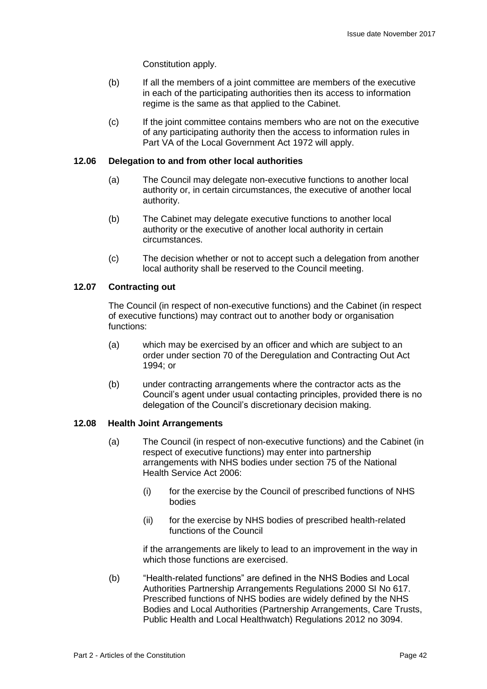Constitution apply.

- (b) If all the members of a joint committee are members of the executive in each of the participating authorities then its access to information regime is the same as that applied to the Cabinet.
- (c) If the joint committee contains members who are not on the executive of any participating authority then the access to information rules in Part VA of the Local Government Act 1972 will apply.

#### **12.06 Delegation to and from other local authorities**

- (a) The Council may delegate non-executive functions to another local authority or, in certain circumstances, the executive of another local authority.
- (b) The Cabinet may delegate executive functions to another local authority or the executive of another local authority in certain circumstances.
- (c) The decision whether or not to accept such a delegation from another local authority shall be reserved to the Council meeting.

#### **12.07 Contracting out**

The Council (in respect of non-executive functions) and the Cabinet (in respect of executive functions) may contract out to another body or organisation functions:

- (a) which may be exercised by an officer and which are subject to an order under section 70 of the Deregulation and Contracting Out Act 1994; or
- (b) under contracting arrangements where the contractor acts as the Council's agent under usual contacting principles, provided there is no delegation of the Council's discretionary decision making.

#### **12.08 Health Joint Arrangements**

- (a) The Council (in respect of non-executive functions) and the Cabinet (in respect of executive functions) may enter into partnership arrangements with NHS bodies under section 75 of the National Health Service Act 2006:
	- (i) for the exercise by the Council of prescribed functions of NHS bodies
	- (ii) for the exercise by NHS bodies of prescribed health-related functions of the Council

if the arrangements are likely to lead to an improvement in the way in which those functions are exercised.

(b) "Health-related functions" are defined in the NHS Bodies and Local Authorities Partnership Arrangements Regulations 2000 SI No 617. Prescribed functions of NHS bodies are widely defined by the NHS Bodies and Local Authorities (Partnership Arrangements, Care Trusts, Public Health and Local Healthwatch) Regulations 2012 no 3094.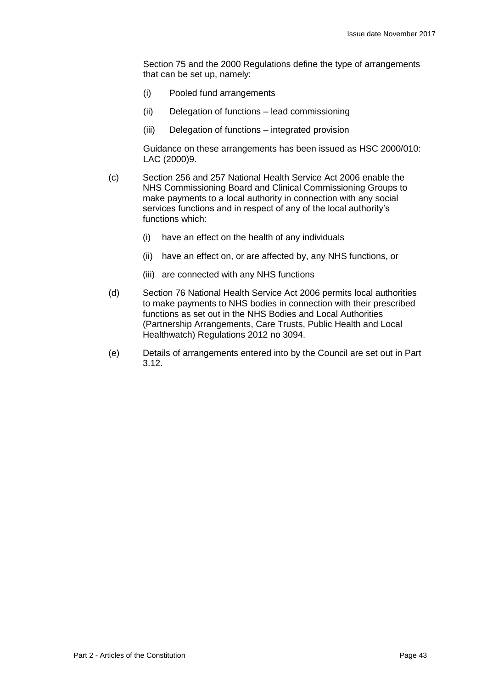Section 75 and the 2000 Regulations define the type of arrangements that can be set up, namely:

- (i) Pooled fund arrangements
- (ii) Delegation of functions lead commissioning
- (iii) Delegation of functions integrated provision

Guidance on these arrangements has been issued as HSC 2000/010: LAC (2000)9.

- (c) Section 256 and 257 National Health Service Act 2006 enable the NHS Commissioning Board and Clinical Commissioning Groups to make payments to a local authority in connection with any social services functions and in respect of any of the local authority's functions which:
	- (i) have an effect on the health of any individuals
	- (ii) have an effect on, or are affected by, any NHS functions, or
	- (iii) are connected with any NHS functions
- (d) Section 76 National Health Service Act 2006 permits local authorities to make payments to NHS bodies in connection with their prescribed functions as set out in the NHS Bodies and Local Authorities (Partnership Arrangements, Care Trusts, Public Health and Local Healthwatch) Regulations 2012 no 3094.
- (e) Details of arrangements entered into by the Council are set out in Part 3.12.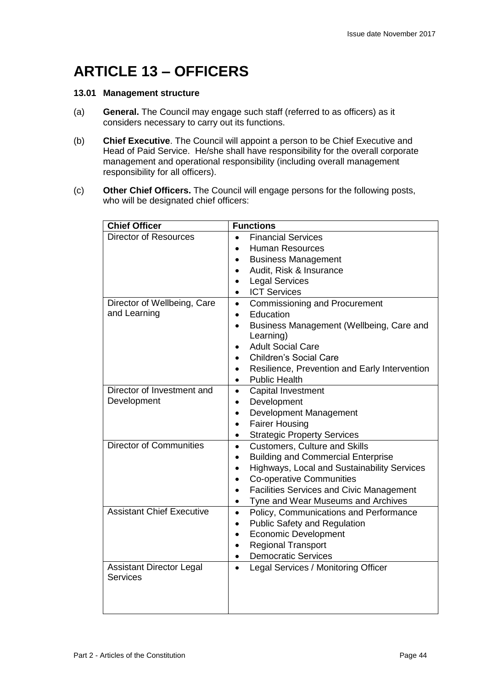## **ARTICLE 13 – OFFICERS**

### **13.01 Management structure**

- (a) **General.** The Council may engage such staff (referred to as officers) as it considers necessary to carry out its functions.
- (b) **Chief Executive**. The Council will appoint a person to be Chief Executive and Head of Paid Service. He/she shall have responsibility for the overall corporate management and operational responsibility (including overall management responsibility for all officers).
- (c) **Other Chief Officers.** The Council will engage persons for the following posts, who will be designated chief officers:

| <b>Chief Officer</b>                               | <b>Functions</b>                                                                                                                                                                                                                                                           |  |
|----------------------------------------------------|----------------------------------------------------------------------------------------------------------------------------------------------------------------------------------------------------------------------------------------------------------------------------|--|
| <b>Director of Resources</b>                       | <b>Financial Services</b><br><b>Human Resources</b><br><b>Business Management</b><br>Audit, Risk & Insurance<br><b>Legal Services</b><br>$\bullet$<br><b>ICT Services</b><br>$\bullet$                                                                                     |  |
| Director of Wellbeing, Care<br>and Learning        | <b>Commissioning and Procurement</b><br>$\bullet$<br>Education<br>$\bullet$<br>Business Management (Wellbeing, Care and<br>Learning)<br><b>Adult Social Care</b><br><b>Children's Social Care</b><br>Resilience, Prevention and Early Intervention<br><b>Public Health</b> |  |
| Director of Investment and<br>Development          | <b>Capital Investment</b><br>$\bullet$<br>Development<br>$\bullet$<br>Development Management<br>$\bullet$<br><b>Fairer Housing</b><br>$\bullet$<br><b>Strategic Property Services</b><br>$\bullet$                                                                         |  |
| <b>Director of Communities</b>                     | <b>Customers, Culture and Skills</b><br>$\bullet$<br><b>Building and Commercial Enterprise</b><br>Highways, Local and Sustainability Services<br><b>Co-operative Communities</b><br><b>Facilities Services and Civic Management</b><br>Tyne and Wear Museums and Archives  |  |
| <b>Assistant Chief Executive</b>                   | Policy, Communications and Performance<br>$\bullet$<br><b>Public Safety and Regulation</b><br>$\bullet$<br><b>Economic Development</b><br>$\bullet$<br><b>Regional Transport</b><br><b>Democratic Services</b><br>$\bullet$                                                |  |
| <b>Assistant Director Legal</b><br><b>Services</b> | Legal Services / Monitoring Officer<br>$\bullet$                                                                                                                                                                                                                           |  |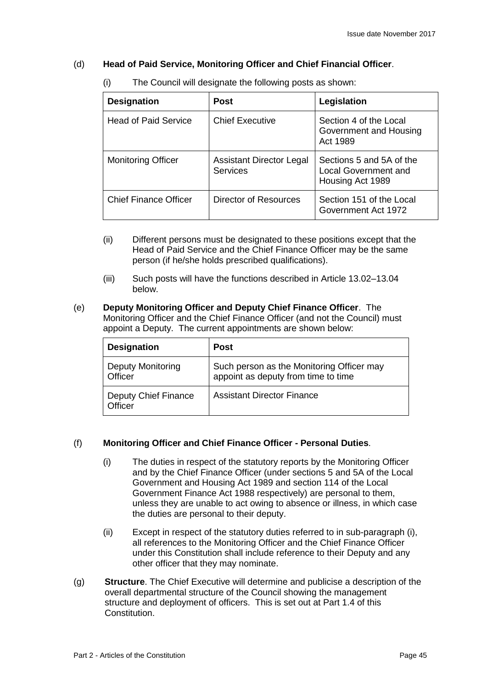## (d) **Head of Paid Service, Monitoring Officer and Chief Financial Officer**.

| <b>Designation</b>           | <b>Post</b>                                        | Legislation                                                          |
|------------------------------|----------------------------------------------------|----------------------------------------------------------------------|
| <b>Head of Paid Service</b>  | <b>Chief Executive</b>                             | Section 4 of the Local<br>Government and Housing<br>Act 1989         |
| <b>Monitoring Officer</b>    | <b>Assistant Director Legal</b><br><b>Services</b> | Sections 5 and 5A of the<br>Local Government and<br>Housing Act 1989 |
| <b>Chief Finance Officer</b> | Director of Resources                              | Section 151 of the Local<br>Government Act 1972                      |

(i) The Council will designate the following posts as shown:

- (ii) Different persons must be designated to these positions except that the Head of Paid Service and the Chief Finance Officer may be the same person (if he/she holds prescribed qualifications).
- (iii) Such posts will have the functions described in Article 13.02–13.04 below.
- (e) **Deputy Monitoring Officer and Deputy Chief Finance Officer**. The Monitoring Officer and the Chief Finance Officer (and not the Council) must appoint a Deputy. The current appointments are shown below:

| <b>Designation</b>                     | <b>Post</b>                                                                      |
|----------------------------------------|----------------------------------------------------------------------------------|
| <b>Deputy Monitoring</b><br>Officer    | Such person as the Monitoring Officer may<br>appoint as deputy from time to time |
| <b>Deputy Chief Finance</b><br>Officer | <b>Assistant Director Finance</b>                                                |

## (f) **Monitoring Officer and Chief Finance Officer - Personal Duties**.

- (i) The duties in respect of the statutory reports by the Monitoring Officer and by the Chief Finance Officer (under sections 5 and 5A of the Local Government and Housing Act 1989 and section 114 of the Local Government Finance Act 1988 respectively) are personal to them, unless they are unable to act owing to absence or illness, in which case the duties are personal to their deputy.
- (ii) Except in respect of the statutory duties referred to in sub-paragraph (i), all references to the Monitoring Officer and the Chief Finance Officer under this Constitution shall include reference to their Deputy and any other officer that they may nominate.
- (g) **Structure**. The Chief Executive will determine and publicise a description of the overall departmental structure of the Council showing the management structure and deployment of officers. This is set out at Part 1.4 of this Constitution.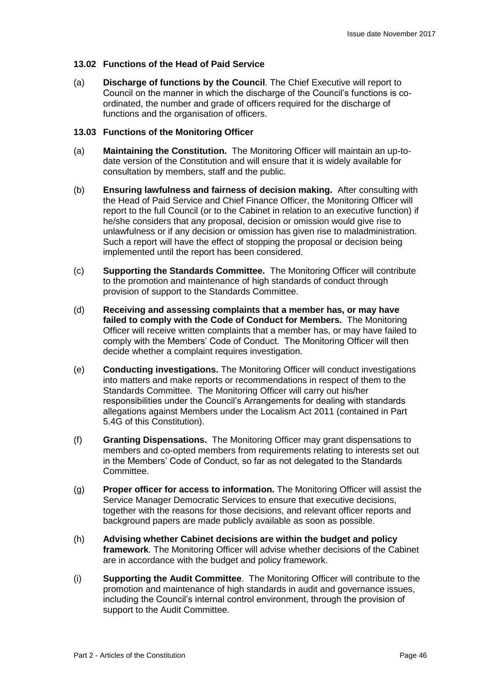## **13.02 Functions of the Head of Paid Service**

(a) **Discharge of functions by the Council**. The Chief Executive will report to Council on the manner in which the discharge of the Council's functions is coordinated, the number and grade of officers required for the discharge of functions and the organisation of officers.

#### **13.03 Functions of the Monitoring Officer**

- (a) **Maintaining the Constitution.** The Monitoring Officer will maintain an up-todate version of the Constitution and will ensure that it is widely available for consultation by members, staff and the public.
- (b) **Ensuring lawfulness and fairness of decision making.** After consulting with the Head of Paid Service and Chief Finance Officer, the Monitoring Officer will report to the full Council (or to the Cabinet in relation to an executive function) if he/she considers that any proposal, decision or omission would give rise to unlawfulness or if any decision or omission has given rise to maladministration. Such a report will have the effect of stopping the proposal or decision being implemented until the report has been considered.
- (c) **Supporting the Standards Committee.** The Monitoring Officer will contribute to the promotion and maintenance of high standards of conduct through provision of support to the Standards Committee.
- (d) **Receiving and assessing complaints that a member has, or may have failed to comply with the Code of Conduct for Members.** The Monitoring Officer will receive written complaints that a member has, or may have failed to comply with the Members' Code of Conduct. The Monitoring Officer will then decide whether a complaint requires investigation.
- (e) **Conducting investigations.** The Monitoring Officer will conduct investigations into matters and make reports or recommendations in respect of them to the Standards Committee. The Monitoring Officer will carry out his/her responsibilities under the Council's Arrangements for dealing with standards allegations against Members under the Localism Act 2011 (contained in Part 5.4G of this Constitution).
- (f) **Granting Dispensations.** The Monitoring Officer may grant dispensations to members and co-opted members from requirements relating to interests set out in the Members' Code of Conduct, so far as not delegated to the Standards Committee.
- (g) **Proper officer for access to information.** The Monitoring Officer will assist the Service Manager Democratic Services to ensure that executive decisions, together with the reasons for those decisions, and relevant officer reports and background papers are made publicly available as soon as possible.
- (h) **Advising whether Cabinet decisions are within the budget and policy framework**. The Monitoring Officer will advise whether decisions of the Cabinet are in accordance with the budget and policy framework.
- (i) **Supporting the Audit Committee**. The Monitoring Officer will contribute to the promotion and maintenance of high standards in audit and governance issues, including the Council's internal control environment, through the provision of support to the Audit Committee.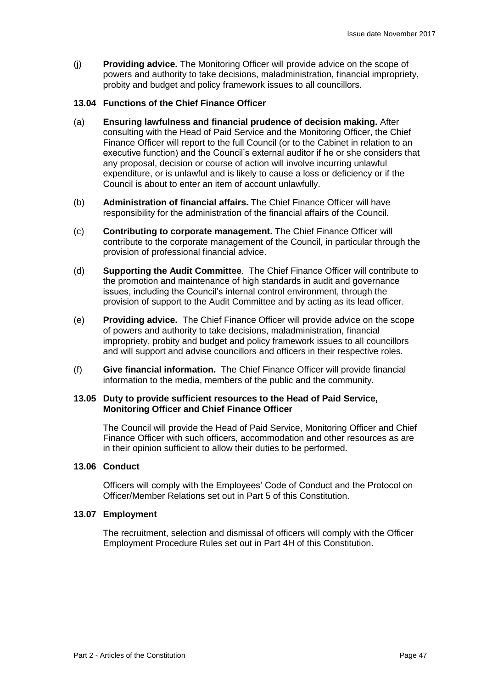(j) **Providing advice.** The Monitoring Officer will provide advice on the scope of powers and authority to take decisions, maladministration, financial impropriety, probity and budget and policy framework issues to all councillors.

#### **13.04 Functions of the Chief Finance Officer**

- (a) **Ensuring lawfulness and financial prudence of decision making.** After consulting with the Head of Paid Service and the Monitoring Officer, the Chief Finance Officer will report to the full Council (or to the Cabinet in relation to an executive function) and the Council's external auditor if he or she considers that any proposal, decision or course of action will involve incurring unlawful expenditure, or is unlawful and is likely to cause a loss or deficiency or if the Council is about to enter an item of account unlawfully.
- (b) **Administration of financial affairs.** The Chief Finance Officer will have responsibility for the administration of the financial affairs of the Council.
- (c) **Contributing to corporate management.** The Chief Finance Officer will contribute to the corporate management of the Council, in particular through the provision of professional financial advice.
- (d) **Supporting the Audit Committee**. The Chief Finance Officer will contribute to the promotion and maintenance of high standards in audit and governance issues, including the Council's internal control environment, through the provision of support to the Audit Committee and by acting as its lead officer.
- (e) **Providing advice.** The Chief Finance Officer will provide advice on the scope of powers and authority to take decisions, maladministration, financial impropriety, probity and budget and policy framework issues to all councillors and will support and advise councillors and officers in their respective roles.
- (f) **Give financial information.** The Chief Finance Officer will provide financial information to the media, members of the public and the community.

#### **13.05 Duty to provide sufficient resources to the Head of Paid Service, Monitoring Officer and Chief Finance Officer**

The Council will provide the Head of Paid Service, Monitoring Officer and Chief Finance Officer with such officers, accommodation and other resources as are in their opinion sufficient to allow their duties to be performed.

#### **13.06 Conduct**

Officers will comply with the Employees' Code of Conduct and the Protocol on Officer/Member Relations set out in Part 5 of this Constitution.

#### **13.07 Employment**

The recruitment, selection and dismissal of officers will comply with the Officer Employment Procedure Rules set out in Part 4H of this Constitution.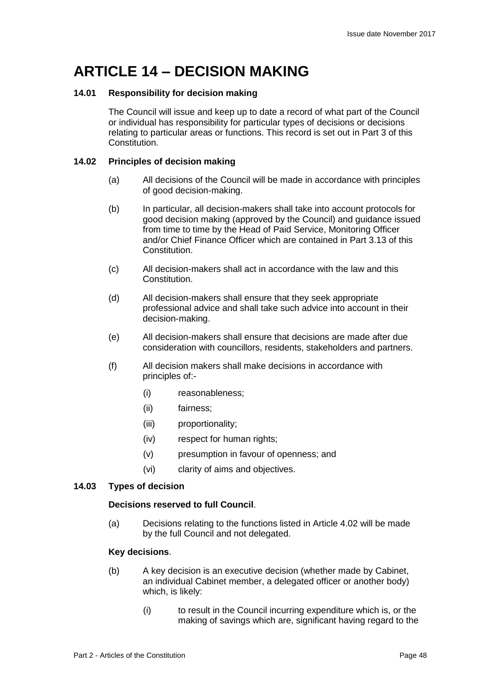## **ARTICLE 14 – DECISION MAKING**

## **14.01 Responsibility for decision making**

The Council will issue and keep up to date a record of what part of the Council or individual has responsibility for particular types of decisions or decisions relating to particular areas or functions. This record is set out in Part 3 of this Constitution.

#### **14.02 Principles of decision making**

- (a) All decisions of the Council will be made in accordance with principles of good decision-making.
- (b) In particular, all decision-makers shall take into account protocols for good decision making (approved by the Council) and guidance issued from time to time by the Head of Paid Service, Monitoring Officer and/or Chief Finance Officer which are contained in Part 3.13 of this Constitution.
- (c) All decision-makers shall act in accordance with the law and this Constitution.
- (d) All decision-makers shall ensure that they seek appropriate professional advice and shall take such advice into account in their decision-making.
- (e) All decision-makers shall ensure that decisions are made after due consideration with councillors, residents, stakeholders and partners.
- (f) All decision makers shall make decisions in accordance with principles of:-
	- (i) reasonableness;
	- (ii) fairness;
	- (iii) proportionality;
	- (iv) respect for human rights;
	- (v) presumption in favour of openness; and
	- (vi) clarity of aims and objectives.

#### **14.03 Types of decision**

#### **Decisions reserved to full Council**.

(a) Decisions relating to the functions listed in Article 4.02 will be made by the full Council and not delegated.

#### **Key decisions**.

- (b) A key decision is an executive decision (whether made by Cabinet, an individual Cabinet member, a delegated officer or another body) which, is likely:
	- (i) to result in the Council incurring expenditure which is, or the making of savings which are, significant having regard to the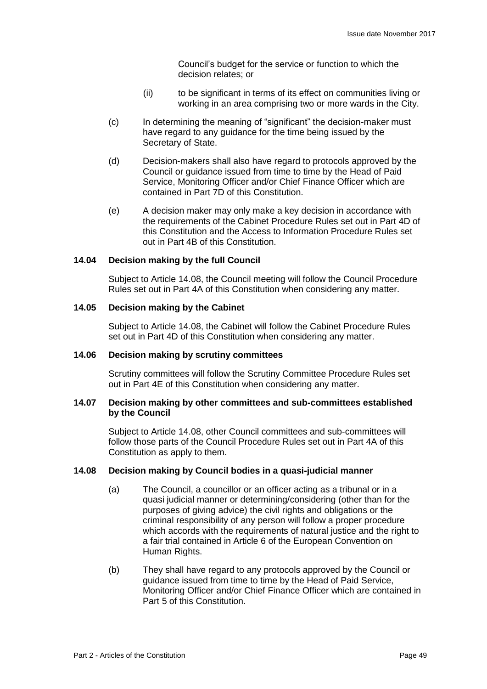Council's budget for the service or function to which the decision relates; or

- (ii) to be significant in terms of its effect on communities living or working in an area comprising two or more wards in the City.
- (c) In determining the meaning of "significant" the decision-maker must have regard to any guidance for the time being issued by the Secretary of State.
- (d) Decision-makers shall also have regard to protocols approved by the Council or guidance issued from time to time by the Head of Paid Service, Monitoring Officer and/or Chief Finance Officer which are contained in Part 7D of this Constitution.
- (e) A decision maker may only make a key decision in accordance with the requirements of the Cabinet Procedure Rules set out in Part 4D of this Constitution and the Access to Information Procedure Rules set out in Part 4B of this Constitution.

#### **14.04 Decision making by the full Council**

Subject to Article 14.08, the Council meeting will follow the Council Procedure Rules set out in Part 4A of this Constitution when considering any matter.

#### **14.05 Decision making by the Cabinet**

Subject to Article 14.08, the Cabinet will follow the Cabinet Procedure Rules set out in Part 4D of this Constitution when considering any matter.

### **14.06 Decision making by scrutiny committees**

Scrutiny committees will follow the Scrutiny Committee Procedure Rules set out in Part 4E of this Constitution when considering any matter.

#### **14.07 Decision making by other committees and sub-committees established by the Council**

Subject to Article 14.08, other Council committees and sub-committees will follow those parts of the Council Procedure Rules set out in Part 4A of this Constitution as apply to them.

#### **14.08 Decision making by Council bodies in a quasi-judicial manner**

- (a) The Council, a councillor or an officer acting as a tribunal or in a quasi judicial manner or determining/considering (other than for the purposes of giving advice) the civil rights and obligations or the criminal responsibility of any person will follow a proper procedure which accords with the requirements of natural justice and the right to a fair trial contained in Article 6 of the European Convention on Human Rights.
- (b) They shall have regard to any protocols approved by the Council or guidance issued from time to time by the Head of Paid Service, Monitoring Officer and/or Chief Finance Officer which are contained in Part 5 of this Constitution.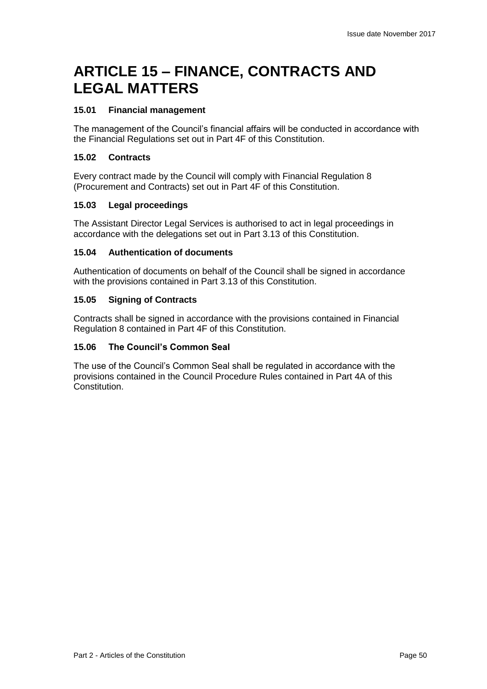## **ARTICLE 15 – FINANCE, CONTRACTS AND LEGAL MATTERS**

## **15.01 Financial management**

The management of the Council's financial affairs will be conducted in accordance with the Financial Regulations set out in Part 4F of this Constitution.

### **15.02 Contracts**

Every contract made by the Council will comply with Financial Regulation 8 (Procurement and Contracts) set out in Part 4F of this Constitution.

## **15.03 Legal proceedings**

The Assistant Director Legal Services is authorised to act in legal proceedings in accordance with the delegations set out in Part 3.13 of this Constitution.

#### **15.04 Authentication of documents**

Authentication of documents on behalf of the Council shall be signed in accordance with the provisions contained in Part 3.13 of this Constitution.

## **15.05 Signing of Contracts**

Contracts shall be signed in accordance with the provisions contained in Financial Regulation 8 contained in Part 4F of this Constitution.

## **15.06 The Council's Common Seal**

The use of the Council's Common Seal shall be regulated in accordance with the provisions contained in the Council Procedure Rules contained in Part 4A of this **Constitution**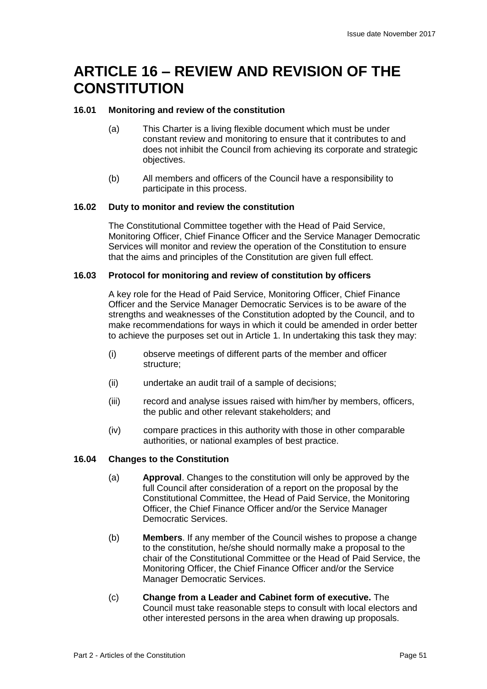## **ARTICLE 16 – REVIEW AND REVISION OF THE CONSTITUTION**

## **16.01 Monitoring and review of the constitution**

- (a) This Charter is a living flexible document which must be under constant review and monitoring to ensure that it contributes to and does not inhibit the Council from achieving its corporate and strategic objectives.
- (b) All members and officers of the Council have a responsibility to participate in this process.

## **16.02 Duty to monitor and review the constitution**

The Constitutional Committee together with the Head of Paid Service, Monitoring Officer, Chief Finance Officer and the Service Manager Democratic Services will monitor and review the operation of the Constitution to ensure that the aims and principles of the Constitution are given full effect.

#### **16.03 Protocol for monitoring and review of constitution by officers**

A key role for the Head of Paid Service, Monitoring Officer, Chief Finance Officer and the Service Manager Democratic Services is to be aware of the strengths and weaknesses of the Constitution adopted by the Council, and to make recommendations for ways in which it could be amended in order better to achieve the purposes set out in Article 1. In undertaking this task they may:

- (i) observe meetings of different parts of the member and officer structure;
- (ii) undertake an audit trail of a sample of decisions;
- (iii) record and analyse issues raised with him/her by members, officers, the public and other relevant stakeholders; and
- (iv) compare practices in this authority with those in other comparable authorities, or national examples of best practice.

## **16.04 Changes to the Constitution**

- (a) **Approval**. Changes to the constitution will only be approved by the full Council after consideration of a report on the proposal by the Constitutional Committee, the Head of Paid Service, the Monitoring Officer, the Chief Finance Officer and/or the Service Manager Democratic Services.
- (b) **Members**. If any member of the Council wishes to propose a change to the constitution, he/she should normally make a proposal to the chair of the Constitutional Committee or the Head of Paid Service, the Monitoring Officer, the Chief Finance Officer and/or the Service Manager Democratic Services.
- (c) **Change from a Leader and Cabinet form of executive.** The Council must take reasonable steps to consult with local electors and other interested persons in the area when drawing up proposals.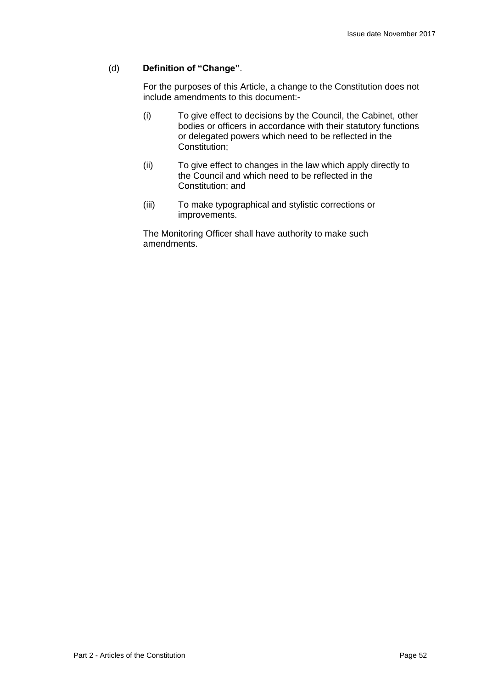### (d) **Definition of "Change"**.

For the purposes of this Article, a change to the Constitution does not include amendments to this document:-

- (i) To give effect to decisions by the Council, the Cabinet, other bodies or officers in accordance with their statutory functions or delegated powers which need to be reflected in the Constitution;
- (ii) To give effect to changes in the law which apply directly to the Council and which need to be reflected in the Constitution; and
- (iii) To make typographical and stylistic corrections or improvements.

The Monitoring Officer shall have authority to make such amendments.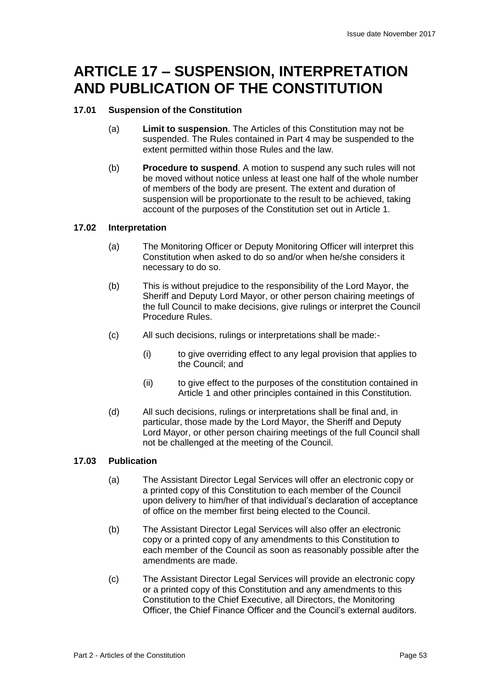## **ARTICLE 17 – SUSPENSION, INTERPRETATION AND PUBLICATION OF THE CONSTITUTION**

## **17.01 Suspension of the Constitution**

- (a) **Limit to suspension**. The Articles of this Constitution may not be suspended. The Rules contained in Part 4 may be suspended to the extent permitted within those Rules and the law.
- (b) **Procedure to suspend**. A motion to suspend any such rules will not be moved without notice unless at least one half of the whole number of members of the body are present. The extent and duration of suspension will be proportionate to the result to be achieved, taking account of the purposes of the Constitution set out in Article 1.

## **17.02 Interpretation**

- (a) The Monitoring Officer or Deputy Monitoring Officer will interpret this Constitution when asked to do so and/or when he/she considers it necessary to do so.
- (b) This is without prejudice to the responsibility of the Lord Mayor, the Sheriff and Deputy Lord Mayor, or other person chairing meetings of the full Council to make decisions, give rulings or interpret the Council Procedure Rules.
- (c) All such decisions, rulings or interpretations shall be made:-
	- (i) to give overriding effect to any legal provision that applies to the Council; and
	- (ii) to give effect to the purposes of the constitution contained in Article 1 and other principles contained in this Constitution.
- (d) All such decisions, rulings or interpretations shall be final and, in particular, those made by the Lord Mayor, the Sheriff and Deputy Lord Mayor, or other person chairing meetings of the full Council shall not be challenged at the meeting of the Council.

## **17.03 Publication**

- (a) The Assistant Director Legal Services will offer an electronic copy or a printed copy of this Constitution to each member of the Council upon delivery to him/her of that individual's declaration of acceptance of office on the member first being elected to the Council.
- (b) The Assistant Director Legal Services will also offer an electronic copy or a printed copy of any amendments to this Constitution to each member of the Council as soon as reasonably possible after the amendments are made.
- (c) The Assistant Director Legal Services will provide an electronic copy or a printed copy of this Constitution and any amendments to this Constitution to the Chief Executive, all Directors, the Monitoring Officer, the Chief Finance Officer and the Council's external auditors.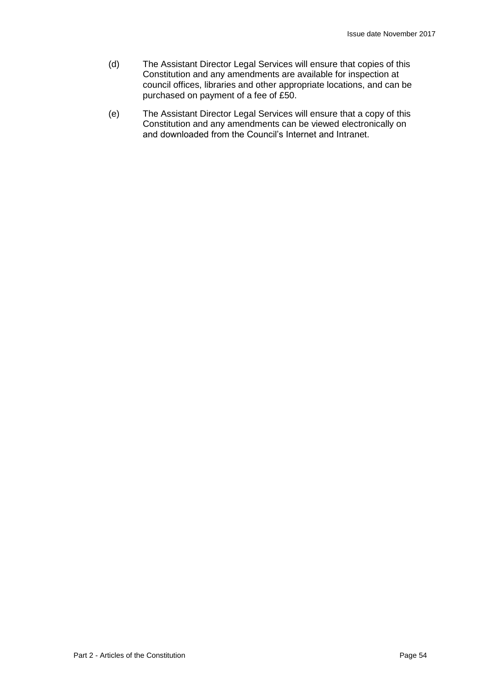- (d) The Assistant Director Legal Services will ensure that copies of this Constitution and any amendments are available for inspection at council offices, libraries and other appropriate locations, and can be purchased on payment of a fee of £50.
- (e) The Assistant Director Legal Services will ensure that a copy of this Constitution and any amendments can be viewed electronically on and downloaded from the Council's Internet and Intranet.